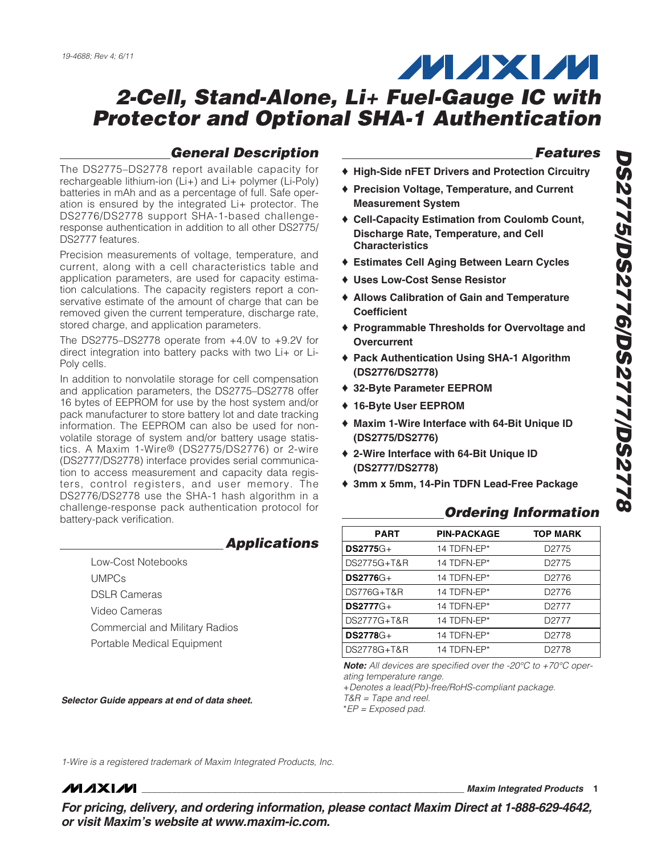# **MAXM**

## **2-Cell, Stand-Alone, Li+ Fuel-Gauge IC with Protector and Optional SHA-1 Authentication**

## **General Description**

The DS2775–DS2778 report available capacity for rechargeable lithium-ion (Li+) and Li+ polymer (Li-Poly) batteries in mAh and as a percentage of full. Safe operation is ensured by the integrated Li+ protector. The DS2776/DS2778 support SHA-1-based challengeresponse authentication in addition to all other DS2775/ DS2777 features.

Precision measurements of voltage, temperature, and current, along with a cell characteristics table and application parameters, are used for capacity estimation calculations. The capacity registers report a conservative estimate of the amount of charge that can be removed given the current temperature, discharge rate, stored charge, and application parameters.

The DS2775–DS2778 operate from +4.0V to +9.2V for direct integration into battery packs with two Li+ or Li-Poly cells.

In addition to nonvolatile storage for cell compensation and application parameters, the DS2775–DS2778 offer 16 bytes of EEPROM for use by the host system and/or pack manufacturer to store battery lot and date tracking information. The EEPROM can also be used for nonvolatile storage of system and/or battery usage statistics. A Maxim 1-Wire® (DS2775/DS2776) or 2-wire (DS2777/DS2778) interface provides serial communication to access measurement and capacity data registers, control registers, and user memory. The DS2776/DS2778 use the SHA-1 hash algorithm in a challenge-response pack authentication protocol for battery-pack verification.

### **Applications**

### Low-Cost Notebooks UMPCs DSLR Cameras Video Cameras Commercial and Military Radios Portable Medical Equipment

**Selector Guide appears at end of data sheet.**

## **Features**

- ♦ **High-Side nFET Drivers and Protection Circuitry**
- ♦ **Precision Voltage, Temperature, and Current Measurement System**
- ♦ **Cell-Capacity Estimation from Coulomb Count, Discharge Rate, Temperature, and Cell Characteristics**
- ♦ **Estimates Cell Aging Between Learn Cycles**
- ♦ **Uses Low-Cost Sense Resistor**
- ♦ **Allows Calibration of Gain and Temperature Coefficient**
- ♦ **Programmable Thresholds for Overvoltage and Overcurrent**
- ♦ **Pack Authentication Using SHA-1 Algorithm (DS2776/DS2778)**
- ♦ **32-Byte Parameter EEPROM**
- ♦ **16-Byte User EEPROM**
- ♦ **Maxim 1-Wire Interface with 64-Bit Unique ID (DS2775/DS2776)**
- ♦ **2-Wire Interface with 64-Bit Unique ID (DS2777/DS2778)**
- ♦ **3mm x 5mm, 14-Pin TDFN Lead-Free Package**

## **Ordering Information**

| <b>PART</b>      | <b>PIN-PACKAGE</b> | <b>TOP MARK</b>   |
|------------------|--------------------|-------------------|
| $DS2775G+$       | 14 TDFN-EP*        | D <sub>2775</sub> |
| DS2775G+T&R      | 14 TDFN-EP*        | D <sub>2775</sub> |
| $DS2776G+$       | 14 TDFN-EP*        | D <sub>2776</sub> |
| DS776G+T&R       | 14 TDFN-EP*        | D <sub>2776</sub> |
| <b>DS2777</b> G+ | 14 TDFN-EP*        | D <sub>2777</sub> |
| DS2777G+T&R      | 14 TDFN-EP*        | D <sub>2777</sub> |
| $DS2778G+$       | 14 TDFN-EP*        | D <sub>2778</sub> |
| DS2778G+T&R      | 14 TDFN-EP*        | D <sub>2778</sub> |

**Note:** All devices are specified over the -20°C to +70°C operating temperature range.

+Denotes a lead(Pb)-free/RoHS-compliant package. T&R = Tape and reel.

\*EP = Exposed pad.

1-Wire is a registered trademark of Maxim Integrated Products, Inc.

**MAXM** 

**\_\_\_\_\_\_\_\_\_\_\_\_\_\_\_\_\_\_\_\_\_\_\_\_\_\_\_\_\_\_\_\_\_\_\_\_\_\_\_\_\_\_\_\_\_\_\_\_\_\_\_\_\_\_\_\_\_\_\_\_\_\_\_\_ Maxim Integrated Products 1**

**For pricing, delivery, and ordering information, please contact Maxim Direct at 1-888-629-4642, or visit Maxim's website at www.maxim-ic.com.**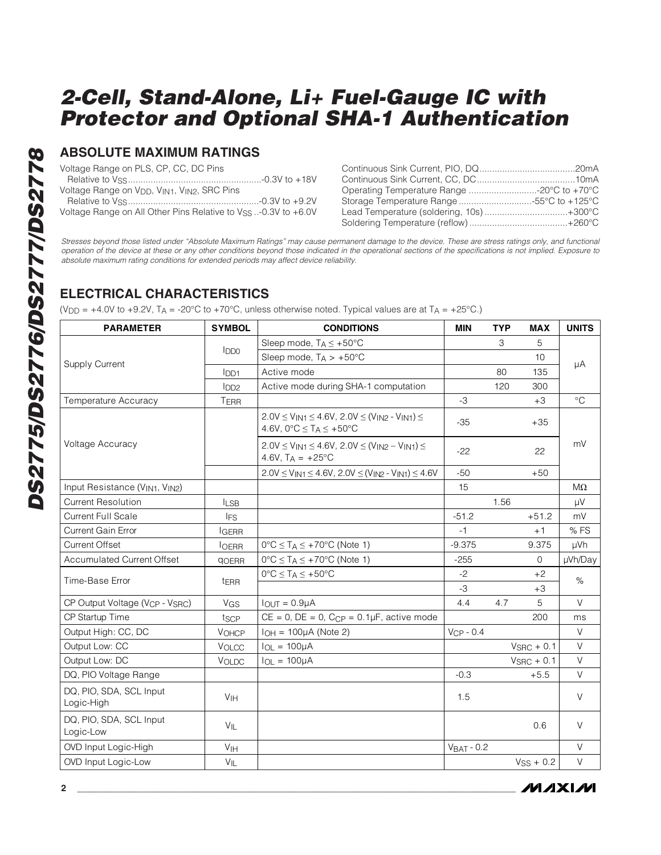### **ABSOLUTE MAXIMUM RATINGS**

Voltage Range on PLS, CP, CC, DC Pins

| Voltage Range on V <sub>DD</sub> , V <sub>IN1</sub> , V <sub>IN2</sub> , SRC Pins |                                                                       |  |
|-----------------------------------------------------------------------------------|-----------------------------------------------------------------------|--|
|                                                                                   |                                                                       |  |
|                                                                                   | Voltage Range on All Other Pins Relative to $V_{SS}$ -0.3V to $+6.0V$ |  |

| Operating Temperature Range -20°C to +70°C |  |
|--------------------------------------------|--|
| Storage Temperature Range 55°C to +125°C   |  |
| Lead Temperature (soldering, 10s)+300°C    |  |
|                                            |  |

Stresses beyond those listed under "Absolute Maximum Ratings" may cause permanent damage to the device. These are stress ratings only, and functional operation of the device at these or any other conditions beyond those indicated in the operational sections of the specifications is not implied. Exposure to absolute maximum rating conditions for extended periods may affect device reliability.

## **ELECTRICAL CHARACTERISTICS**

(V<sub>DD</sub> = +4.0V to +9.2V, T<sub>A</sub> = -20°C to +70°C, unless otherwise noted. Typical values are at T<sub>A</sub> = +25°C.)

| <b>PARAMETER</b>                                        | <b>SYMBOL</b>     | <b>CONDITIONS</b>                                                                                                 | <b>MIN</b>   | <b>TYP</b> | <b>MAX</b>             | <b>UNITS</b> |
|---------------------------------------------------------|-------------------|-------------------------------------------------------------------------------------------------------------------|--------------|------------|------------------------|--------------|
|                                                         |                   | Sleep mode, $T_A \leq +50^{\circ}C$                                                                               |              | З          | 5                      |              |
|                                                         | $I_{DD0}$         | Sleep mode, $T_A > +50^{\circ}C$                                                                                  |              |            | 10                     |              |
| <b>Supply Current</b>                                   | <b>IDD1</b>       | Active mode                                                                                                       |              | 80         | 135                    | μA           |
|                                                         | 1 <sub>DD2</sub>  | Active mode during SHA-1 computation                                                                              |              | 120        | 300                    |              |
| Temperature Accuracy                                    | TERR              |                                                                                                                   | $-3$         |            | $+3$                   | $^{\circ}$ C |
|                                                         |                   | $2.0V \le V_{IN1} \le 4.6V$ , $2.0V \le (V_{IN2} - V_{IN1}) \le$<br>4.6V, $0^{\circ}C \leq T_A \leq +50^{\circ}C$ | $-35$        |            | $+35$                  |              |
| Voltage Accuracy                                        |                   | $2.0V \le V_{IN1} \le 4.6V$ , $2.0V \le (V_{IN2} - V_{IN1}) \le$<br>4.6V, $T_A = +25^{\circ}C$                    | $-22$        |            | 22                     | mV           |
|                                                         |                   | $2.0V \le V_{IN1} \le 4.6V$ , $2.0V \le (V_{IN2} - V_{IN1}) \le 4.6V$                                             | $-50$        |            | $+50$                  |              |
| Input Resistance (V <sub>IN1</sub> , V <sub>IN2</sub> ) |                   |                                                                                                                   | 15           |            |                        | $M\Omega$    |
| <b>Current Resolution</b>                               | $I_{LSB}$         |                                                                                                                   |              | 1.56       |                        | μV           |
| <b>Current Full Scale</b>                               | <b>IFS</b>        |                                                                                                                   | $-51.2$      |            | $+51.2$                | mV           |
| <b>Current Gain Error</b>                               | <b>IGERR</b>      |                                                                                                                   | -1           |            | $+1$                   | % FS         |
| <b>Current Offset</b>                                   | <b>IOERR</b>      | $0^{\circ}C \leq T_A \leq +70^{\circ}C$ (Note 1)                                                                  | $-9.375$     |            | 9.375                  | µVh          |
| <b>Accumulated Current Offset</b>                       | <b>QOERR</b>      | $0^{\circ}C \leq T_A \leq +70^{\circ}C$ (Note 1)                                                                  | $-255$       |            | $\mathbf{0}$           | µVh/Day      |
| Time-Base Error                                         | t <sub>ERR</sub>  | $0^{\circ}C \leq T_A \leq +50^{\circ}C$                                                                           | $-2$         |            | +2                     | $\%$         |
|                                                         |                   |                                                                                                                   | $-3$         |            | $+3$                   |              |
| CP Output Voltage (V <sub>CP</sub> - V <sub>SRC</sub> ) | VGS               | $IQUT = 0.9µA$                                                                                                    | 4.4          | 4.7        | 5                      | V            |
| CP Startup Time                                         | tscp              | $CE = 0$ , $DE = 0$ , $C_{CP} = 0.1 \mu F$ , active mode                                                          |              |            | 200                    | ms           |
| Output High: CC, DC                                     | <b>VOHCP</b>      | $I_{OH} = 100 \mu A$ (Note 2)                                                                                     | $VCP - 0.4$  |            |                        | V            |
| Output Low: CC                                          | VOLCC             | $I_{OL} = 100 \mu A$                                                                                              |              |            | $V_{\text{SRC}} + 0.1$ | V            |
| Output Low: DC                                          | <b>VOLDC</b>      | $I_{OL} = 100 \mu A$                                                                                              |              |            | $V_{\text{SRC}} + 0.1$ | V            |
| DQ, PIO Voltage Range                                   |                   |                                                                                                                   | $-0.3$       |            | $+5.5$                 | V            |
| DQ, PIO, SDA, SCL Input<br>Logic-High                   | V <sub>IH</sub>   |                                                                                                                   | 1.5          |            |                        | $\vee$       |
| DQ, PIO, SDA, SCL Input<br>Logic-Low                    | $V_{\parallel L}$ |                                                                                                                   |              |            | 0.6                    | $\vee$       |
| OVD Input Logic-High                                    | V <sub>IH</sub>   |                                                                                                                   | $VBAT - 0.2$ |            |                        | $\vee$       |
| <b>OVD Input Logic-Low</b>                              | $V_{IL}$          |                                                                                                                   |              |            | $VSS + 0.2$            | V            |

/VI/IXI/VI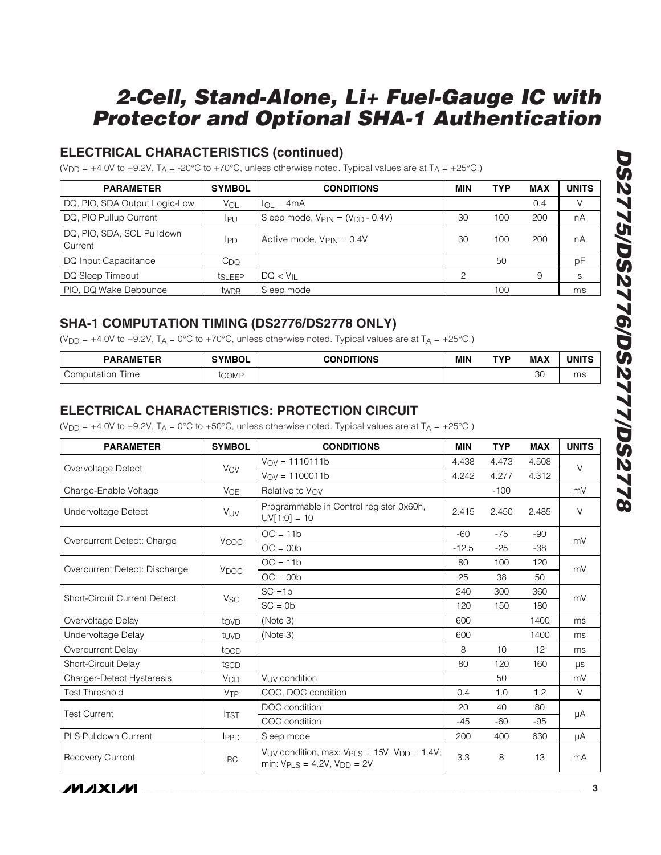## **ELECTRICAL CHARACTERISTICS (continued)**

(V<sub>DD</sub> = +4.0V to +9.2V, T<sub>A</sub> = -20°C to +70°C, unless otherwise noted. Typical values are at T<sub>A</sub> = +25°C.)

| <b>PARAMETER</b><br><b>SYMBOL</b>             |                  | <b>CONDITIONS</b>                    | MIN | <b>TYP</b> | <b>MAX</b> | <b>UNITS</b> |
|-----------------------------------------------|------------------|--------------------------------------|-----|------------|------------|--------------|
| DQ, PIO, SDA Output Logic-Low                 | Vol              | $I_{\Omega} = 4mA$                   |     |            | 0.4        |              |
| DQ, PIO Pullup Current                        | IPU              | Sleep mode, $VPIN = (VDD - 0.4V)$    | 30  | 100        | 200        | nA           |
| DQ, PIO, SDA, SCL Pulldown<br>IPD.<br>Current |                  | Active mode, $V_{\text{PIN}} = 0.4V$ | 30  | 100        | 200        | nA           |
| DQ Input Capacitance                          | $C_{\text{DO}}$  |                                      |     | 50         |            | pF           |
| DQ Sleep Timeout                              | <b>tSLEEP</b>    | $DQ < V_{II}$                        | ⌒   |            | 9          | S            |
| PIO, DQ Wake Debounce                         | tw <sub>DB</sub> | Sleep mode                           |     | 100        |            | ms           |

### **SHA-1 COMPUTATION TIMING (DS2776/DS2778 ONLY)**

(V<sub>DD</sub> = +4.0V to +9.2V, T<sub>A</sub> = 0°C to +70°C, unless otherwise noted. Typical values are at T<sub>A</sub> = +25°C.)

| <b>PARAMETER</b>   | <b>SYMBOL</b> | <b>CONDITIONS</b> | <b>MIN</b> | TYP | <b>MAX</b>   | <b>UNITS</b> |
|--------------------|---------------|-------------------|------------|-----|--------------|--------------|
| ime<br>Computation | tcomf         |                   |            |     | $\cap$<br>3U | ms           |

### **ELECTRICAL CHARACTERISTICS: PROTECTION CIRCUIT**

(V<sub>DD</sub> = +4.0V to +9.2V, T<sub>A</sub> = 0°C to +50°C, unless otherwise noted. Typical values are at T<sub>A</sub> = +25°C.)

| <b>PARAMETER</b>                    | <b>SYMBOL</b>         | <b>CONDITIONS</b>                                                                               | <b>MIN</b> | <b>TYP</b> | <b>MAX</b> | <b>UNITS</b> |
|-------------------------------------|-----------------------|-------------------------------------------------------------------------------------------------|------------|------------|------------|--------------|
|                                     |                       | $V_{\text{OV}} = 1110111b$                                                                      | 4.438      | 4.473      | 4.508      | $\vee$       |
| Overvoltage Detect                  | Vov                   | $V_{\text{OV}} = 1100011b$                                                                      | 4.242      | 4.277      | 4.312      |              |
| Charge-Enable Voltage               | <b>V<sub>CE</sub></b> | Relative to Vov                                                                                 |            | $-100$     |            | mV           |
| Undervoltage Detect                 | VUV                   | Programmable in Control register 0x60h,<br>$UV[1:0] = 10$                                       | 2.415      | 2.450      | 2.485      | $\vee$       |
| Overcurrent Detect: Charge          | V <sub>COC</sub>      | $OC = 11b$                                                                                      | $-60$      | $-75$      | $-90$      | mV           |
|                                     |                       | $OC = 00b$                                                                                      | $-12.5$    | $-25$      | $-38$      |              |
| Overcurrent Detect: Discharge       |                       | $OC = 11b$                                                                                      | 80         | 100        | 120        | mV           |
|                                     | V <sub>DOC</sub>      | $OC = 00b$                                                                                      | 25         | 38         | 50         |              |
| <b>Short-Circuit Current Detect</b> | <b>V<sub>SC</sub></b> | $SC = 1b$                                                                                       | 240        | 300        | 360        | mV           |
|                                     |                       | $SC = 0b$                                                                                       | 120        | 150        | 180        |              |
| Overvoltage Delay                   | tovp                  | (Note 3)                                                                                        | 600        |            | 1400       | ms           |
| Undervoltage Delay                  | tuvd                  | (Note 3)                                                                                        | 600        |            | 1400       | ms           |
| Overcurrent Delay                   | tocp                  |                                                                                                 | 8          | 10         | 12         | ms           |
| Short-Circuit Delay                 | tscp                  |                                                                                                 | 80         | 120        | 160        | μs           |
| Charger-Detect Hysteresis           | <b>V<sub>CD</sub></b> | V <sub>LIV</sub> condition                                                                      |            | 50         |            | mV           |
| <b>Test Threshold</b>               | VTP                   | COC, DOC condition                                                                              | 0.4        | 1.0        | 1.2        | V            |
| <b>Test Current</b>                 | <b>ITST</b>           | DOC condition                                                                                   | 20         | 40         | 80         |              |
|                                     |                       | COC condition                                                                                   | $-45$      | $-60$      | $-95$      | μA           |
| <b>PLS Pulldown Current</b>         | IPPD                  | Sleep mode                                                                                      | 200        | 400        | 630        | μA           |
| <b>Recovery Current</b>             | <b>IRC</b>            | $V_{UV}$ condition, max: $V_{PLS} = 15V$ , $V_{DD} = 1.4V$ ;<br>min: $VPLS = 4.2V$ , $VDD = 2V$ | 3.3        | 8          | 13         | mA           |

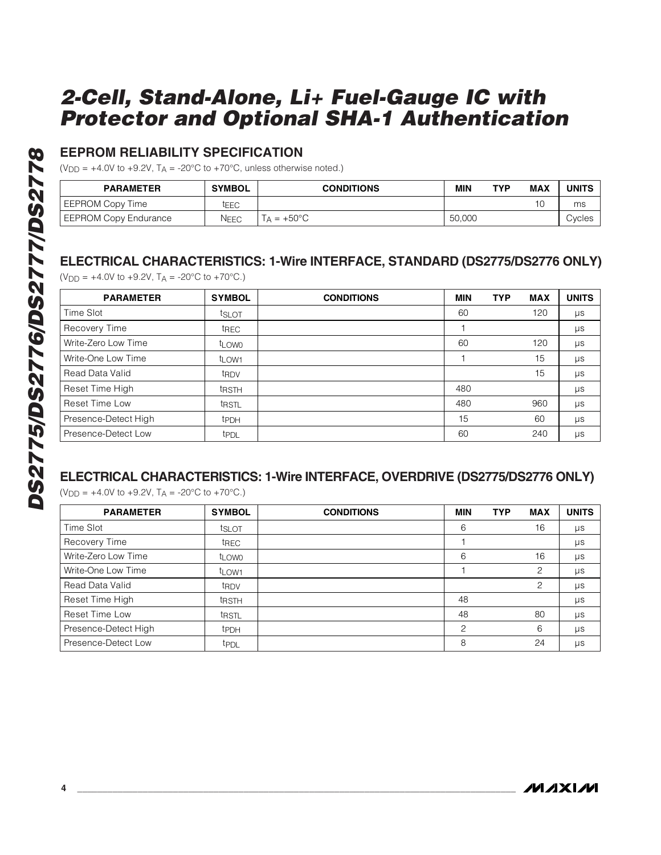### **EEPROM RELIABILITY SPECIFICATION**

( $V_{\text{DD}}$  = +4.0V to +9.2V,  $T_A$  = -20°C to +70°C, unless otherwise noted.)

| <b>PARAMETER</b>      | <b>SYMBOL</b> | <b>CONDITIONS</b> | MIN    | <b>TYP</b> | <b>MAX</b> | <b>UNITS</b> |
|-----------------------|---------------|-------------------|--------|------------|------------|--------------|
| EEPROM Copy Time      | tEEC          |                   |        |            | 10         | ms           |
| EEPROM Copy Endurance | NEEC          | $= +50^{\circ}C$  | 50,000 |            |            | Cycles       |

### **ELECTRICAL CHARACTERISTICS: 1-Wire INTERFACE, STANDARD (DS2775/DS2776 ONLY)**

 $(V_{DD} = +4.0V \text{ to } +9.2V, T_A = -20°C \text{ to } +70°C$ .

| <b>PARAMETER</b>     | <b>SYMBOL</b>     | <b>CONDITIONS</b> | <b>MIN</b> | <b>TYP</b> | <b>MAX</b> | <b>UNITS</b> |
|----------------------|-------------------|-------------------|------------|------------|------------|--------------|
| Time Slot            | tslot             |                   | 60         |            | 120        | μs           |
| Recovery Time        | t <sub>REC</sub>  |                   |            |            |            | $\mu s$      |
| Write-Zero Low Time  | t <sub>LOW0</sub> |                   | 60         |            | 120        | μs           |
| Write-One Low Time   | t <sub>LOW1</sub> |                   |            |            | 15         | μs           |
| Read Data Valid      | t <sub>RDV</sub>  |                   |            |            | 15         | μs           |
| Reset Time High      | <b>t</b> RSTH     |                   | 480        |            |            | μs           |
| Reset Time Low       | t <sub>RSTL</sub> |                   | 480        |            | 960        | μs           |
| Presence-Detect High | <b>t</b> PDH      |                   | 15         |            | 60         | μs           |
| Presence-Detect Low  | t <sub>PDL</sub>  |                   | 60         |            | 240        | $\mu s$      |

#### **ELECTRICAL CHARACTERISTICS: 1-Wire INTERFACE, OVERDRIVE (DS2775/DS2776 ONLY)**

 $(V_{DD} = +4.0V$  to  $+9.2V$ ,  $T_A = -20°C$  to  $+70°C$ .)

| <b>PARAMETER</b>      | <b>SYMBOL</b>     | <b>CONDITIONS</b> | <b>MIN</b>     | <b>TYP</b> | <b>MAX</b> | <b>UNITS</b> |
|-----------------------|-------------------|-------------------|----------------|------------|------------|--------------|
| Time Slot             | tslot             |                   | 6              |            | 16         | μs           |
| Recovery Time         | t <sub>REC</sub>  |                   |                |            |            | μs           |
| Write-Zero Low Time   | t <sub>LOW0</sub> |                   | 6              |            | 16         | μs           |
| Write-One Low Time    | t <sub>LOW1</sub> |                   |                |            | 2          | $\mu s$      |
| Read Data Valid       | t <sub>RDV</sub>  |                   |                |            | 2          | μs           |
| Reset Time High       | <b>t</b> RSTH     |                   | 48             |            |            | μs           |
| <b>Reset Time Low</b> | tristl            |                   | 48             |            | 80         | $\mu s$      |
| Presence-Detect High  | <b>t</b> PDH      |                   | $\mathfrak{p}$ |            | 6          | $\mu s$      |
| Presence-Detect Low   | t <sub>PDL</sub>  |                   | 8              |            | 24         | μs           |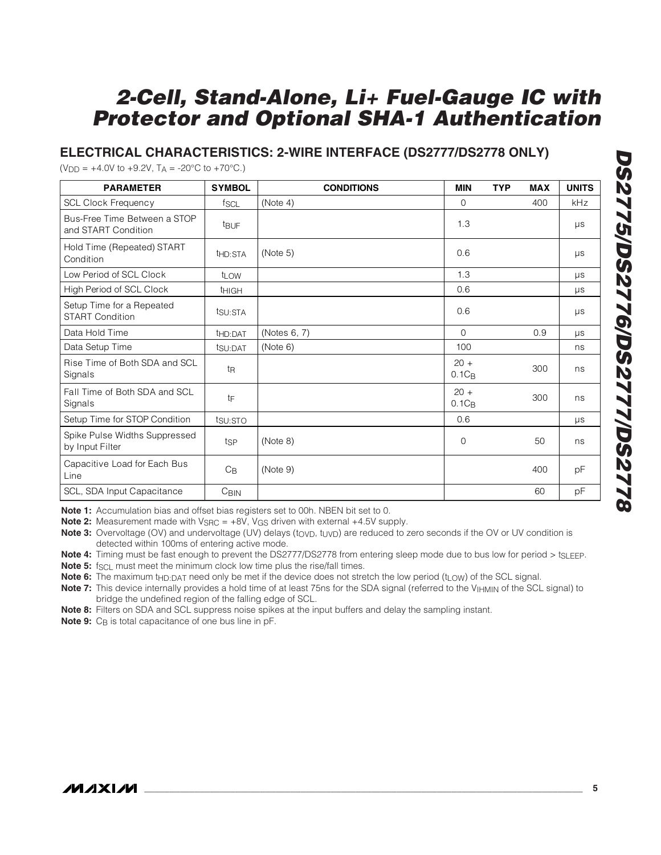### **ELECTRICAL CHARACTERISTICS: 2-WIRE INTERFACE (DS2777/DS2778 ONLY)**

 $(V_{\text{DD}} = +4.0V \text{ to } +9.2V, T_A = -20^{\circ}C \text{ to } +70^{\circ}C.$ 

| <b>PARAMETER</b>                                    | <b>SYMBOL</b>       | <b>CONDITIONS</b> | <b>MIN</b>         | <b>TYP</b> | <b>MAX</b> | <b>UNITS</b> |
|-----------------------------------------------------|---------------------|-------------------|--------------------|------------|------------|--------------|
| <b>SCL Clock Frequency</b>                          | fscl                | (Note 4)          | $\Omega$           |            | 400        | kHz          |
| Bus-Free Time Between a STOP<br>and START Condition | <b>t</b> BUF        |                   | 1.3                |            |            | $\mu s$      |
| Hold Time (Repeated) START<br>Condition             | t <sub>HD:STA</sub> | (Note 5)          | 0.6                |            |            | μs           |
| Low Period of SCL Clock                             | t <sub>LOW</sub>    |                   | 1.3                |            |            | μs           |
| High Period of SCL Clock                            | <b>THIGH</b>        |                   | 0.6                |            |            | $\mu s$      |
| Setup Time for a Repeated<br><b>START Condition</b> | tsu:STA             |                   | 0.6                |            |            | $\mu s$      |
| Data Hold Time                                      | t <sub>HD:DAT</sub> | (Notes 6, 7)      | $\Omega$           |            | 0.9        | μs           |
| Data Setup Time                                     | tsu:DAT             | (Note 6)          | 100                |            |            | ns           |
| Rise Time of Both SDA and SCL<br>Signals            | t <sub>R</sub>      |                   | $20 +$<br>$0.1C_B$ |            | 300        | ns           |
| Fall Time of Both SDA and SCL<br>Signals            | tF                  |                   | $20 +$<br>$0.1C_B$ |            | 300        | ns           |
| Setup Time for STOP Condition                       | tsu: STO            |                   | 0.6                |            |            | <b>US</b>    |
| Spike Pulse Widths Suppressed<br>by Input Filter    | tsp                 | (Note 8)          | 0                  |            | 50         | ns           |
| Capacitive Load for Each Bus<br>Line                | $C_{\mathsf{B}}$    | (Note 9)          |                    |            | 400        | pF           |
| SCL, SDA Input Capacitance                          | C <sub>BIN</sub>    |                   |                    |            | 60         | pF           |

**Note 1:** Accumulation bias and offset bias registers set to 00h. NBEN bit set to 0.

**Note 2:** Measurement made with  $V_{\text{SRC}} = +8V$ ,  $V_{\text{GS}}$  driven with external  $+4.5V$  supply.

**Note 3:** Overvoltage (OV) and undervoltage (UV) delays (t<sub>OVD</sub>, t<sub>UVD</sub>) are reduced to zero seconds if the OV or UV condition is detected within 100ms of entering active mode.

**Note 4:** Timing must be fast enough to prevent the DS2777/DS2778 from entering sleep mode due to bus low for period > tSLEEP.

**Note 5:** f<sub>SCL</sub> must meet the minimum clock low time plus the rise/fall times.

Note 6: The maximum t<sub>HD:DAT</sub> need only be met if the device does not stretch the low period (t<sub>LOW</sub>) of the SCL signal.

Note 7: This device internally provides a hold time of at least 75ns for the SDA signal (referred to the V<sub>IHMIN</sub> of the SCL signal) to bridge the undefined region of the falling edge of SCL.

**Note 8:** Filters on SDA and SCL suppress noise spikes at the input buffers and delay the sampling instant.

**Note 9:** C<sub>B</sub> is total capacitance of one bus line in pF.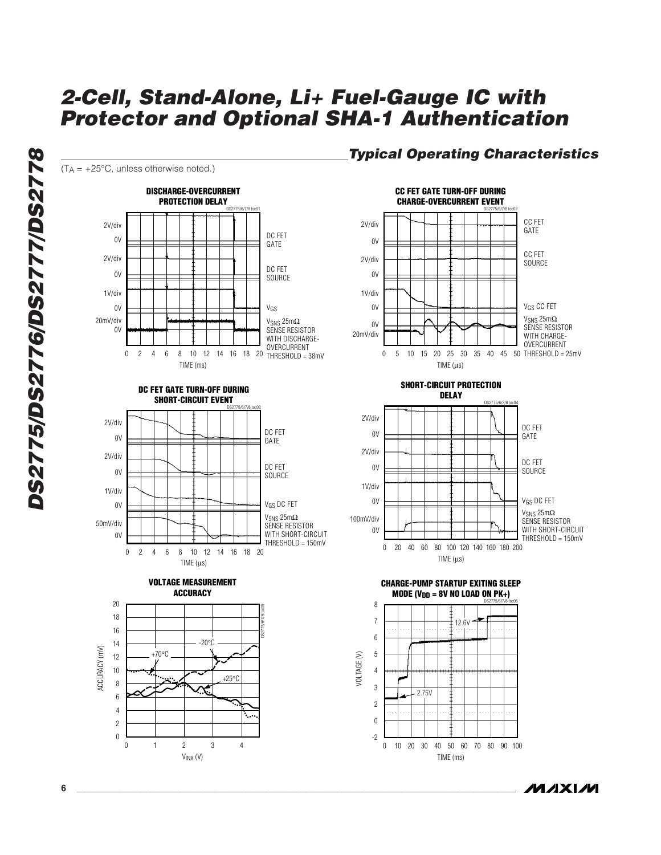

**MAXIM** 

**DS2775/DS2776/DS2777/DS2778** DS2775/DS2776/DS2777/DS2778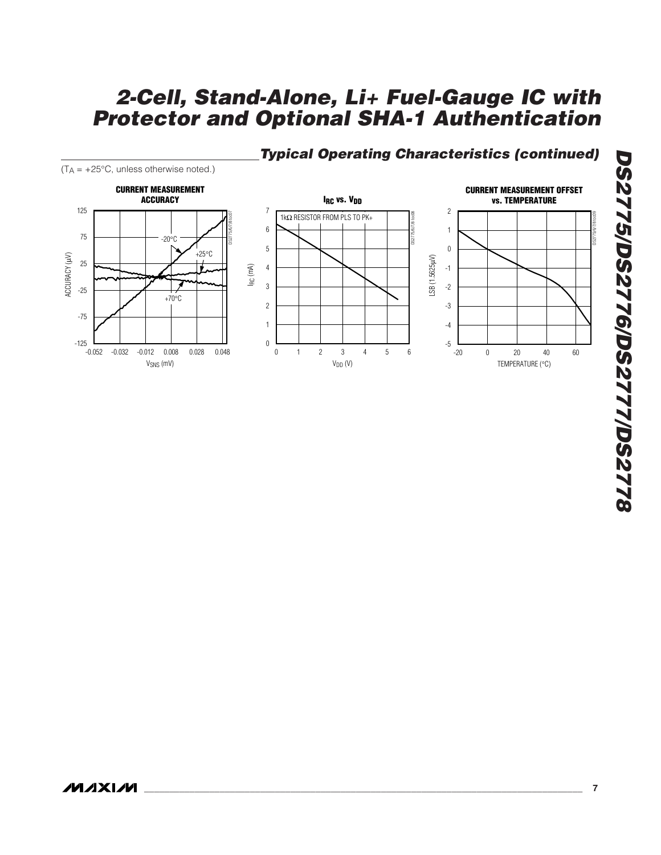## **Typical Operating Characteristics (continued)**

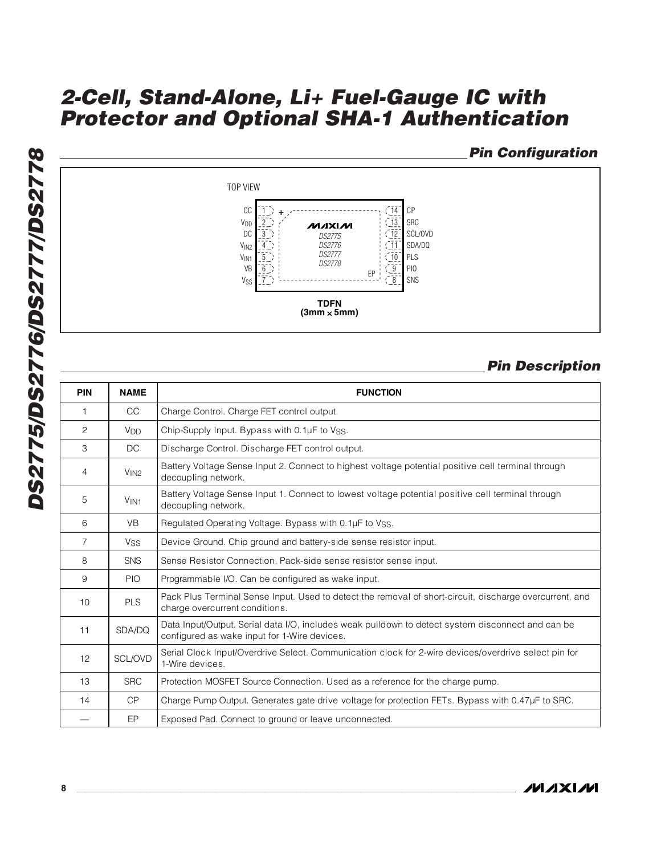### **Pin Configuration**



### **Pin Description**

| <b>PIN</b>     | <b>NAME</b>           | <b>FUNCTION</b>                                                                                                                                   |
|----------------|-----------------------|---------------------------------------------------------------------------------------------------------------------------------------------------|
| 1              | <b>CC</b>             | Charge Control. Charge FET control output.                                                                                                        |
| 2              | <b>V<sub>DD</sub></b> | Chip-Supply Input. Bypass with 0.1µF to Vss.                                                                                                      |
| 3              | DC                    | Discharge Control. Discharge FET control output.                                                                                                  |
| 4              | V <sub>IN2</sub>      | Battery Voltage Sense Input 2. Connect to highest voltage potential positive cell terminal through<br>decoupling network.                         |
| 5              | V <sub>IN1</sub>      | Battery Voltage Sense Input 1. Connect to lowest voltage potential positive cell terminal through<br>decoupling network.                          |
| 6              | <b>VB</b>             | Regulated Operating Voltage. Bypass with 0.1µF to Vss.                                                                                            |
| $\overline{7}$ | <b>V<sub>SS</sub></b> | Device Ground. Chip ground and battery-side sense resistor input.                                                                                 |
| 8              | <b>SNS</b>            | Sense Resistor Connection. Pack-side sense resistor sense input.                                                                                  |
| 9              | <b>PIO</b>            | Programmable I/O. Can be configured as wake input.                                                                                                |
| 10             | <b>PLS</b>            | Pack Plus Terminal Sense Input. Used to detect the removal of short-circuit, discharge overcurrent, and<br>charge overcurrent conditions.         |
| 11             | SDA/DQ                | Data Input/Output. Serial data I/O, includes weak pulldown to detect system disconnect and can be<br>configured as wake input for 1-Wire devices. |
| 12             | SCL/OVD               | Serial Clock Input/Overdrive Select. Communication clock for 2-wire devices/overdrive select pin for<br>1-Wire devices.                           |
| 13             | <b>SRC</b>            | Protection MOSFET Source Connection. Used as a reference for the charge pump.                                                                     |
| 14             | CP                    | Charge Pump Output. Generates gate drive voltage for protection FETs. Bypass with 0.47µF to SRC.                                                  |
|                | EP                    | Exposed Pad. Connect to ground or leave unconnected.                                                                                              |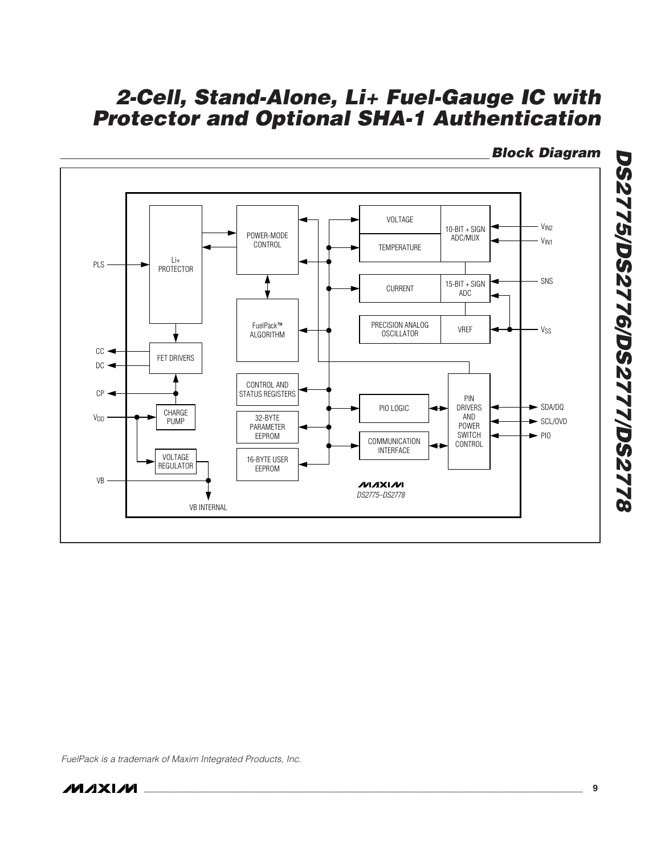

### **Block Diagram**

**DS2775/DS2776/DS2777/DS2778**

**DS2775/DS2776/DS2777/DS2778** 

FuelPack is a trademark of Maxim Integrated Products, Inc.

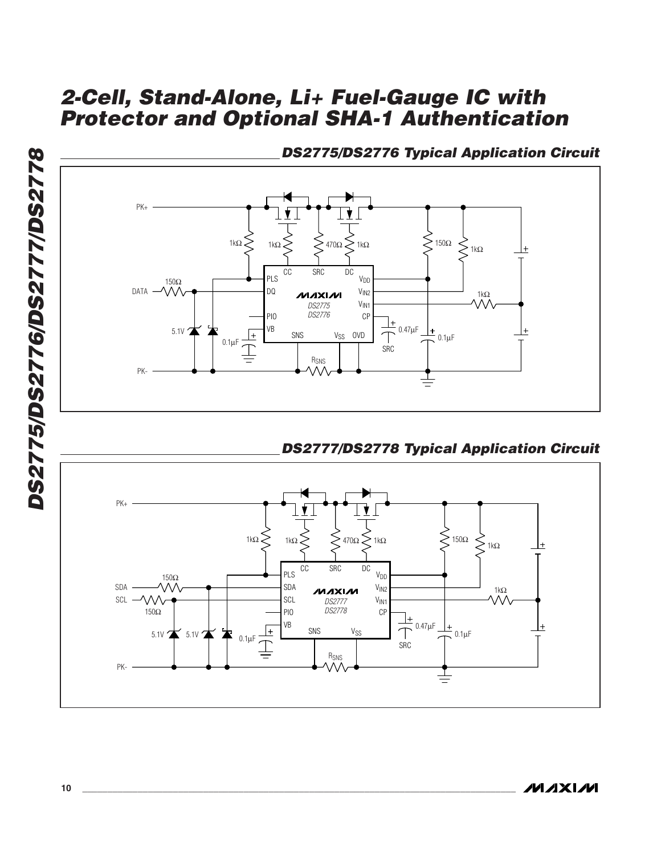

**DS2775/DS2776 Typical Application Circuit**

**DS2777/DS2778 Typical Application Circuit**

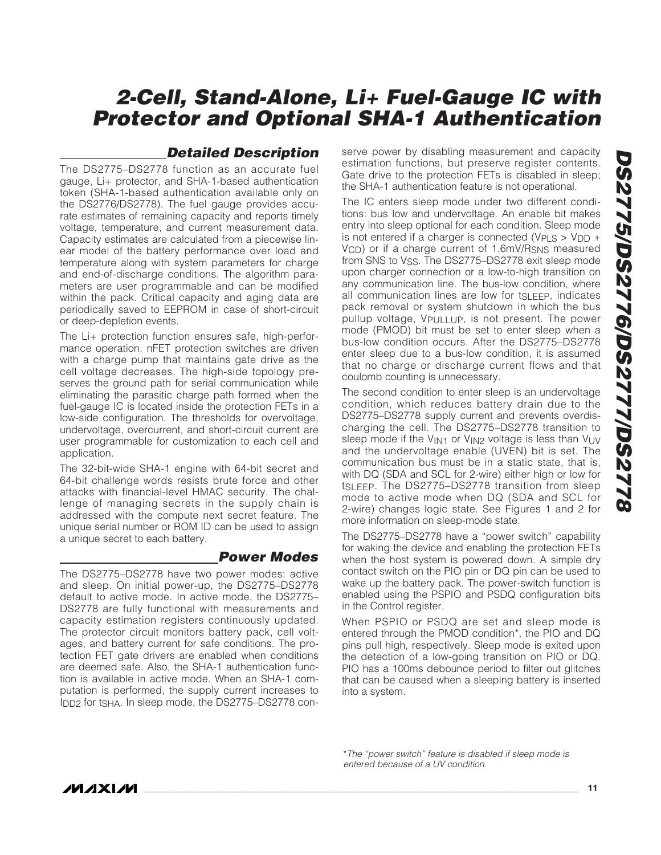#### **Detailed Description**

The DS2775–DS2778 function as an accurate fuel gauge, Li+ protector, and SHA-1-based authentication token (SHA-1-based authentication available only on the DS2776/DS2778). The fuel gauge provides accurate estimates of remaining capacity and reports timely voltage, temperature, and current measurement data. Capacity estimates are calculated from a piecewise linear model of the battery performance over load and temperature along with system parameters for charge and end-of-discharge conditions. The algorithm parameters are user programmable and can be modified within the pack. Critical capacity and aging data are periodically saved to EEPROM in case of short-circuit or deep-depletion events.

The Li+ protection function ensures safe, high-performance operation. nFET protection switches are driven with a charge pump that maintains gate drive as the cell voltage decreases. The high-side topology preserves the ground path for serial communication while eliminating the parasitic charge path formed when the fuel-gauge IC is located inside the protection FETs in a low-side configuration. The thresholds for overvoltage, undervoltage, overcurrent, and short-circuit current are user programmable for customization to each cell and application.

The 32-bit-wide SHA-1 engine with 64-bit secret and 64-bit challenge words resists brute force and other attacks with financial-level HMAC security. The challenge of managing secrets in the supply chain is addressed with the compute next secret feature. The unique serial number or ROM ID can be used to assign a unique secret to each battery.

#### **Power Modes**

The DS2775–DS2778 have two power modes: active and sleep. On initial power-up, the DS2775–DS2778 default to active mode. In active mode, the DS2775– DS2778 are fully functional with measurements and capacity estimation registers continuously updated. The protector circuit monitors battery pack, cell voltages, and battery current for safe conditions. The protection FET gate drivers are enabled when conditions are deemed safe. Also, the SHA-1 authentication function is available in active mode. When an SHA-1 computation is performed, the supply current increases to IDD2 for tSHA. In sleep mode, the DS2775–DS2778 conserve power by disabling measurement and capacity estimation functions, but preserve register contents. Gate drive to the protection FETs is disabled in sleep; the SHA-1 authentication feature is not operational.

The IC enters sleep mode under two different conditions: bus low and undervoltage. An enable bit makes entry into sleep optional for each condition. Sleep mode is not entered if a charger is connected ( $VPLS > VDD +$ VCD) or if a charge current of 1.6mV/RSNS measured from SNS to Vss. The DS2775-DS2778 exit sleep mode upon charger connection or a low-to-high transition on any communication line. The bus-low condition, where all communication lines are low for tSLEEP, indicates pack removal or system shutdown in which the bus pullup voltage, VPULLUP, is not present. The power mode (PMOD) bit must be set to enter sleep when a bus-low condition occurs. After the DS2775–DS2778 enter sleep due to a bus-low condition, it is assumed that no charge or discharge current flows and that coulomb counting is unnecessary.

The second condition to enter sleep is an undervoltage condition, which reduces battery drain due to the DS2775–DS2778 supply current and prevents overdischarging the cell. The DS2775–DS2778 transition to sleep mode if the V<sub>IN1</sub> or V<sub>IN2</sub> voltage is less than V<sub>UV</sub> and the undervoltage enable (UVEN) bit is set. The communication bus must be in a static state, that is, with DQ (SDA and SCL for 2-wire) either high or low for tSLEEP. The DS2775–DS2778 transition from sleep mode to active mode when DQ (SDA and SCL for 2-wire) changes logic state. See Figures 1 and 2 for more information on sleep-mode state.

The DS2775–DS2778 have a "power switch" capability for waking the device and enabling the protection FETs when the host system is powered down. A simple dry contact switch on the PIO pin or DQ pin can be used to wake up the battery pack. The power-switch function is enabled using the PSPIO and PSDQ configuration bits in the Control register.

When PSPIO or PSDQ are set and sleep mode is entered through the PMOD condition\*, the PIO and DQ pins pull high, respectively. Sleep mode is exited upon the detection of a low-going transition on PIO or DQ. PIO has a 100ms debounce period to filter out glitches that can be caused when a sleeping battery is inserted into a system.

\*The "power switch" feature is disabled if sleep mode is entered because of a UV condition.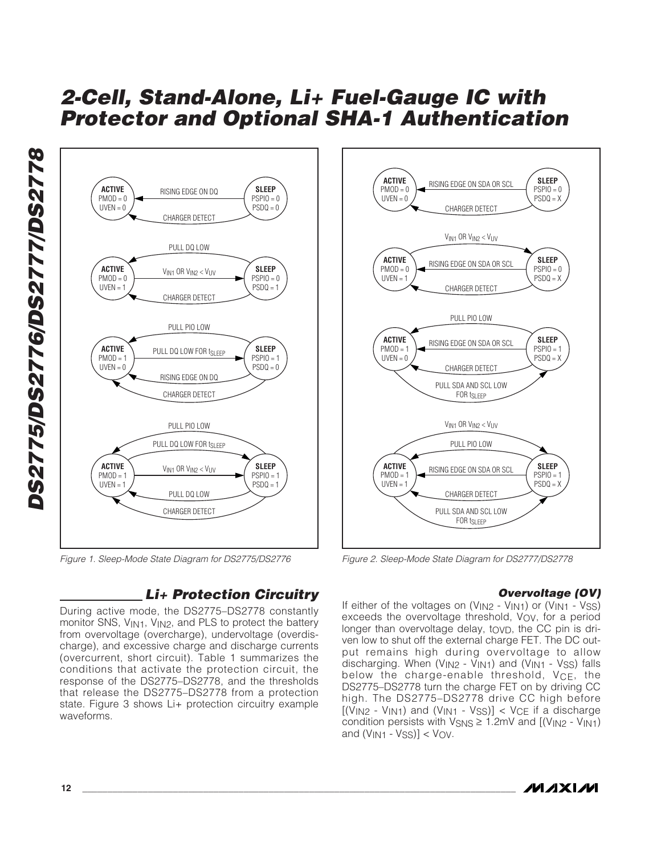**SLEEP**  $PSPIO = 0$  $PSDQ = 0$ 

**SLEEP**  $PSPIO = 0$  $PSDQ = 1$ 

**SLEEP**  $PSP10 = 1$  $PSDQ = 0$ 

**SLEEP**  $PSPIO = 1$  $PSDQ = 1$ 



Figure 1. Sleep-Mode State Diagram for DS2775/DS2776

### **Li+ Protection Circuitry**

During active mode, the DS2775–DS2778 constantly monitor SNS, VIN1, VIN2, and PLS to protect the battery from overvoltage (overcharge), undervoltage (overdischarge), and excessive charge and discharge currents (overcurrent, short circuit). Table 1 summarizes the conditions that activate the protection circuit, the response of the DS2775–DS2778, and the thresholds that release the DS2775–DS2778 from a protection state. Figure 3 shows Li+ protection circuitry example waveforms.



Figure 2. Sleep-Mode State Diagram for DS2777/DS2778

#### **Overvoltage (OV)**

If either of the voltages on (V<sub>IN2</sub> - V<sub>IN1</sub>) or (V<sub>IN1</sub> - V<sub>SS</sub>) exceeds the overvoltage threshold, V<sub>OV</sub>, for a period longer than overvoltage delay, tovp, the CC pin is driven low to shut off the external charge FET. The DC output remains high during overvoltage to allow discharging. When (V<sub>IN2</sub> - V<sub>IN1</sub>) and (V<sub>IN1</sub> - V<sub>SS</sub>) falls below the charge-enable threshold, V<sub>CE</sub>, the DS2775–DS2778 turn the charge FET on by driving CC high. The DS2775–DS2778 drive CC high before  $[(V_{IN2} - V_{IN1})$  and  $(V_{IN1} - V_{SS})] < V_{CE}$  if a discharge condition persists with  $V_{\text{SNS}} \geq 1.2 \text{mV}$  and  $[(V_{\text{IN2}} - V_{\text{IN1}})]$ and  $(V_{IN1} - V_{SS})$ ] <  $V_{OV}$ .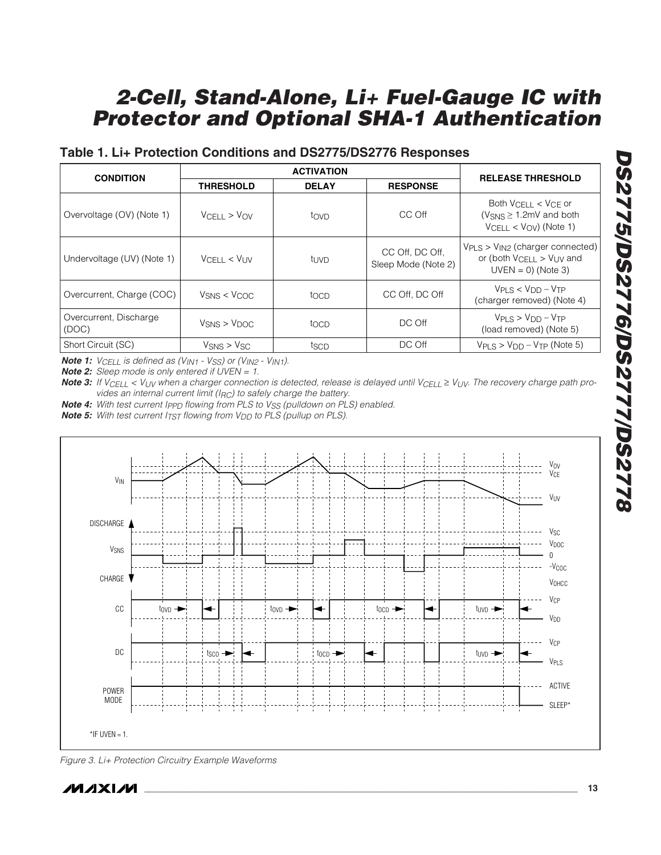### **Table 1. Li+ Protection Conditions and DS2775/DS2776 Responses**

|                                 |                                         | <b>ACTIVATION</b> |                                        |                                                                                                                        |
|---------------------------------|-----------------------------------------|-------------------|----------------------------------------|------------------------------------------------------------------------------------------------------------------------|
| <b>CONDITION</b>                | <b>THRESHOLD</b>                        | <b>DELAY</b>      | <b>RESPONSE</b>                        | <b>RELEASE THRESHOLD</b>                                                                                               |
| Overvoltage (OV) (Note 1)       | VCHI > VOV                              | tovp              | CC Off                                 | Both $V_{\text{CFII}} < V_{\text{CF}}$ or<br>( $V_{\text{SNS}} \geq 1.2 \text{mV}$ and both<br>$VCELL < VOV)$ (Note 1) |
| Undervoltage (UV) (Note 1)      | $V$ CELL < $V_{UV}$                     | tuvd              | CC Off, DC Off,<br>Sleep Mode (Note 2) | $V_{PI, S} > V_{IN2}$ (charger connected)<br>or (both $V_{\text{CFII}} > V_{\text{UV}}$ and<br>$UVEN = 0$ ) (Note 3)   |
| Overcurrent, Charge (COC)       | $V$ <sub>SNS</sub> < $V$ <sub>COC</sub> | tocp              | CC Off, DC Off                         | $VPI S < VDD - VTP$<br>(charger removed) (Note 4)                                                                      |
| Overcurrent, Discharge<br>(DOC) | $V$ <sub>SNS</sub> > $V$ <sub>DOC</sub> | tocp              | DC Off                                 | $VPI S > VDD - VTP$<br>(load removed) (Note 5)                                                                         |
| Short Circuit (SC)              | $V$ SNS > $V$ SC                        | tscp              | DC Off                                 | $V_{PI}$ s $>$ $V_{DD}$ – $V_{TP}$ (Note 5)                                                                            |

**Note 1:** V<sub>CELL</sub> is defined as (V<sub>IN1</sub> - V<sub>SS</sub>) or (V<sub>IN2</sub> - V<sub>IN1</sub>).

**Note 2:** Sleep mode is only entered if UVEN = 1.

**Note 3:** If V<sub>CELL</sub> < V<sub>UV</sub> when a charger connection is detected, release is delayed until V<sub>CELL</sub> ≥ V<sub>UV</sub>. The recovery charge path provides an internal current limit ( $I_{RC}$ ) to safely charge the battery.

**Note 4:** With test current Ipp<sub>D</sub> flowing from PLS to V<sub>SS</sub> (pulldown on PLS) enabled.

**Note 5:** With test current I<sub>TST</sub> flowing from V<sub>DD</sub> to PLS (pullup on PLS).



Figure 3. Li+ Protection Circuitry Example Waveforms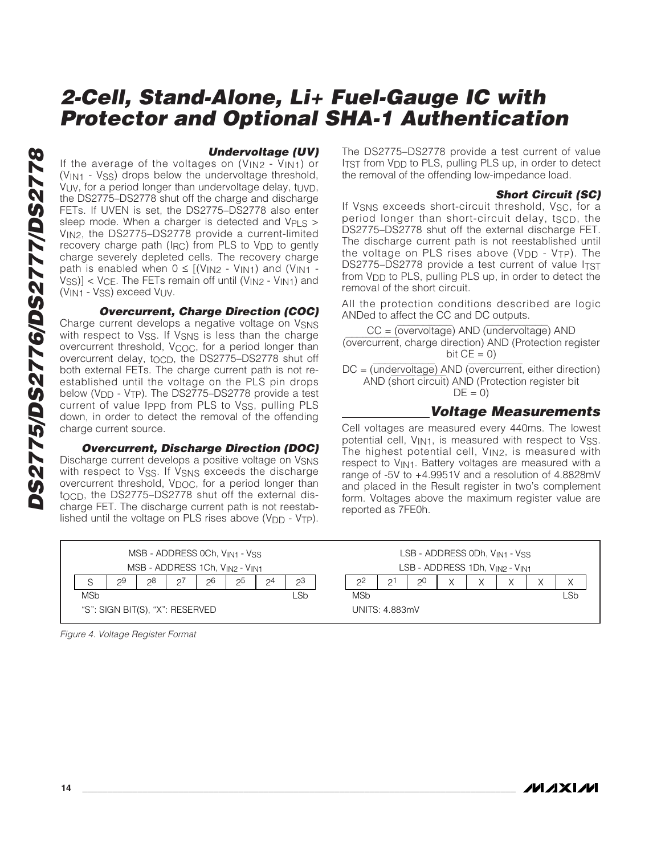#### **Undervoltage (UV)**

If the average of the voltages on  $(V_{IN2} - V_{IN1})$  or (VIN1 - VSS) drops below the undervoltage threshold, VUV, for a period longer than undervoltage delay, tUVD, the DS2775–DS2778 shut off the charge and discharge FETs. If UVEN is set, the DS2775–DS2778 also enter sleep mode. When a charger is detected and V<sub>PLS</sub> > VIN2, the DS2775–DS2778 provide a current-limited recovery charge path (IRC) from PLS to V<sub>DD</sub> to gently charge severely depleted cells. The recovery charge path is enabled when  $0 \leq [V_{IN2} - V_{IN1}]$  and  $(V_{IN1} VSS$ ] <  $VCE$ . The FETs remain off until ( $V_{IN2}$  -  $V_{IN1}$ ) and (VIN1 - VSS) exceed VUV.

**Overcurrent, Charge Direction (COC)**

Charge current develops a negative voltage on VSNS with respect to Vss. If Vsns is less than the charge overcurrent threshold, V<sub>COC</sub>, for a period longer than overcurrent delay, to  $CD$ , the DS2775–DS2778 shut off both external FETs. The charge current path is not reestablished until the voltage on the PLS pin drops below (V<sub>DD</sub> - V<sub>TP</sub>). The DS2775–DS2778 provide a test current of value Ippp from PLS to Vss, pulling PLS down, in order to detect the removal of the offending charge current source.

#### **Overcurrent, Discharge Direction (DOC)**

Discharge current develops a positive voltage on V<sub>SNS</sub> with respect to Vss. If Vsns exceeds the discharge overcurrent threshold, V<sub>DOC</sub>, for a period longer than tocp, the DS2775-DS2778 shut off the external discharge FET. The discharge current path is not reestablished until the voltage on PLS rises above  $(V_{DD} - V_{TP})$ .

The DS2775–DS2778 provide a test current of value ITST from V<sub>DD</sub> to PLS, pulling PLS up, in order to detect the removal of the offending low-impedance load.

#### **Short Circuit (SC)**

If V<sub>SNS</sub> exceeds short-circuit threshold, V<sub>SC</sub>, for a period longer than short-circuit delay, tscp, the DS2775–DS2778 shut off the external discharge FET. The discharge current path is not reestablished until the voltage on PLS rises above  $(V_{DD} - V_{TP})$ . The DS2775–DS2778 provide a test current of value ITST from V<sub>DD</sub> to PLS, pulling PLS up, in order to detect the removal of the short circuit.

All the protection conditions described are logic ANDed to affect the CC and DC outputs.

CC = (overvoltage) AND (undervoltage) AND (overcurrent, charge direction) AND (Protection register bit  $CE = 0$ )

DC = (undervoltage) AND (overcurrent, either direction) AND (short circuit) AND (Protection register bit  $DE = 0$ 

#### **Voltage Measurements**

Cell voltages are measured every 440ms. The lowest potential cell, V<sub>IN1</sub>, is measured with respect to Vss. The highest potential cell,  $V_{IN2}$ , is measured with respect to V<sub>IN1</sub>. Battery voltages are measured with a range of -5V to +4.9951V and a resolution of 4.8828mV and placed in the Result register in two's complement form. Voltages above the maximum register value are reported as 7FE0h.

|                                 |    |    |               |    | MSB - ADDRESS 0Ch, V <sub>IN1</sub> - V <sub>SS</sub> |          |     |            |                |                |  | $LSB - ADDRESS$ ODh, $V_{IN1} - V_{SS}$ |     |
|---------------------------------|----|----|---------------|----|-------------------------------------------------------|----------|-----|------------|----------------|----------------|--|-----------------------------------------|-----|
| MSB - ADDRESS 1Ch, VIN2 - VIN1  |    |    |               |    |                                                       |          |     |            |                |                |  | LSB - ADDRESS 1Dh, VIN2 - VIN1          |     |
| S                               | 29 | 28 | $\mathcal{Q}$ | 26 | つつ                                                    | $\Omega$ | 23  | 20         | C.             | 2 <sup>0</sup> |  |                                         |     |
| <b>MSb</b>                      |    |    |               |    |                                                       |          | _Sb | <b>MSb</b> |                |                |  |                                         | _Sb |
| "S": SIGN BIT(S), "X": RESERVED |    |    |               |    |                                                       |          |     |            | UNITS: 4.883mV |                |  |                                         |     |

Figure 4. Voltage Register Format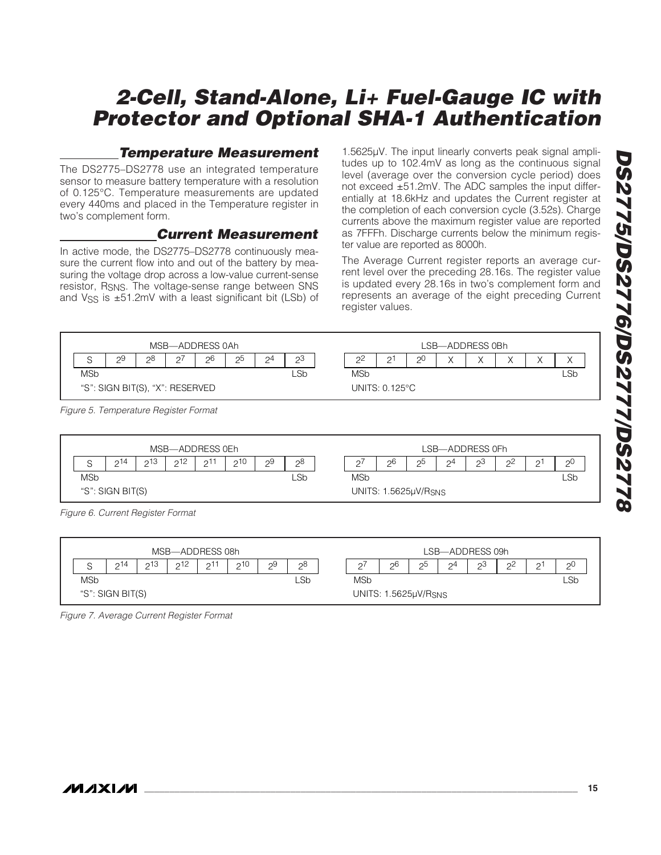### **Temperature Measurement**

The DS2775–DS2778 use an integrated temperature sensor to measure battery temperature with a resolution of 0.125°C. Temperature measurements are updated every 440ms and placed in the Temperature register in two's complement form.

### **Current Measurement**

In active mode, the DS2775–DS2778 continuously measure the current flow into and out of the battery by measuring the voltage drop across a low-value current-sense resistor, RSNS. The voltage-sense range between SNS and Vss is  $\pm 51.2$ mV with a least significant bit (LSb) of

1.5625µV. The input linearly converts peak signal amplitudes up to 102.4mV as long as the continuous signal level (average over the conversion cycle period) does not exceed ±51.2mV. The ADC samples the input differentially at 18.6kHz and updates the Current register at the completion of each conversion cycle (3.52s). Charge currents above the maximum register value are reported as 7FFFh. Discharge currents below the minimum register value are reported as 8000h.

The Average Current register reports an average current level over the preceding 28.16s. The register value is updated every 28.16s in two's complement form and represents an average of the eight preceding Current register values.





Figure 6. Current Register Format

|            |                  |     |     | MSB-ADDRESS 08h |     |    |     |            |                      |    | LSB-ADDRESS 09h |                |             |     |
|------------|------------------|-----|-----|-----------------|-----|----|-----|------------|----------------------|----|-----------------|----------------|-------------|-----|
| C          | ኃ14              | 213 | 212 | ົດ11            | っ10 | 29 | 28  | $\sim$     | 26                   | 25 | $\mathcal{D}^4$ | 2 <sup>3</sup> | $2^{\circ}$ | っし  |
| <b>MSb</b> |                  |     |     |                 |     |    | _Sb | <b>MSb</b> |                      |    |                 |                |             | _Sb |
|            | "S": SIGN BIT(S) |     |     |                 |     |    |     |            | UNITS: 1.5625µV/RSNS |    |                 |                |             |     |

Figure 7. Average Current Register Format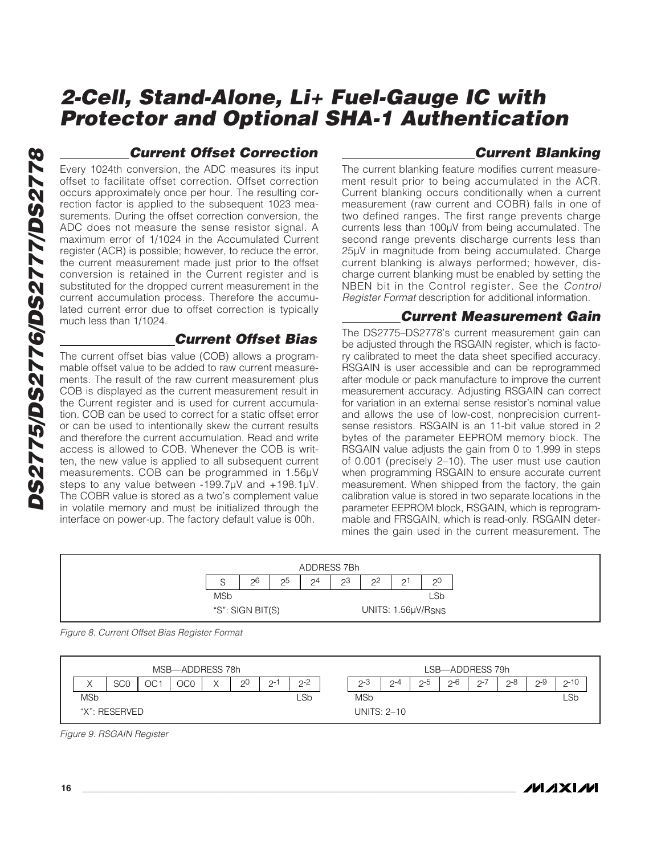## **Current Offset Correction**

Every 1024th conversion, the ADC measures its input offset to facilitate offset correction. Offset correction occurs approximately once per hour. The resulting correction factor is applied to the subsequent 1023 measurements. During the offset correction conversion, the ADC does not measure the sense resistor signal. A maximum error of 1/1024 in the Accumulated Current register (ACR) is possible; however, to reduce the error, the current measurement made just prior to the offset conversion is retained in the Current register and is substituted for the dropped current measurement in the current accumulation process. Therefore the accumulated current error due to offset correction is typically much less than 1/1024.

### **Current Offset Bias**

The current offset bias value (COB) allows a programmable offset value to be added to raw current measurements. The result of the raw current measurement plus COB is displayed as the current measurement result in the Current register and is used for current accumulation. COB can be used to correct for a static offset error or can be used to intentionally skew the current results and therefore the current accumulation. Read and write access is allowed to COB. Whenever the COB is written, the new value is applied to all subsequent current measurements. COB can be programmed in 1.56µV steps to any value between -199.7µV and +198.1µV. The COBR value is stored as a two's complement value in volatile memory and must be initialized through the interface on power-up. The factory default value is 00h.

### **Current Blanking**

The current blanking feature modifies current measurement result prior to being accumulated in the ACR. Current blanking occurs conditionally when a current measurement (raw current and COBR) falls in one of two defined ranges. The first range prevents charge currents less than 100µV from being accumulated. The second range prevents discharge currents less than 25µV in magnitude from being accumulated. Charge current blanking is always performed; however, discharge current blanking must be enabled by setting the NBEN bit in the Control register. See the Control Register Format description for additional information.

### **Current Measurement Gain**

The DS2775–DS2778's current measurement gain can be adjusted through the RSGAIN register, which is factory calibrated to meet the data sheet specified accuracy. RSGAIN is user accessible and can be reprogrammed after module or pack manufacture to improve the current measurement accuracy. Adjusting RSGAIN can correct for variation in an external sense resistor's nominal value and allows the use of low-cost, nonprecision currentsense resistors. RSGAIN is an 11-bit value stored in 2 bytes of the parameter EEPROM memory block. The RSGAIN value adjusts the gain from 0 to 1.999 in steps of 0.001 (precisely 2–10). The user must use caution when programming RSGAIN to ensure accurate current measurement. When shipped from the factory, the gain calibration value is stored in two separate locations in the parameter EEPROM block, RSGAIN, which is reprogrammable and FRSGAIN, which is read-only. RSGAIN determines the gain used in the current measurement. The



Figure 8. Current Offset Bias Register Format



Figure 9. RSGAIN Register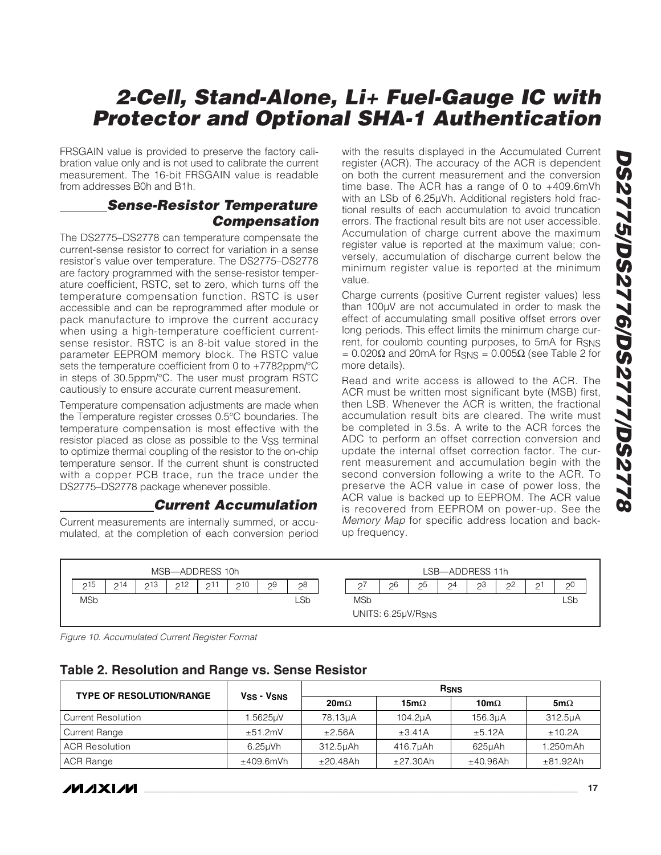FRSGAIN value is provided to preserve the factory calibration value only and is not used to calibrate the current measurement. The 16-bit FRSGAIN value is readable from addresses B0h and B1h.

#### **Sense-Resistor Temperature Compensation**

The DS2775–DS2778 can temperature compensate the current-sense resistor to correct for variation in a sense resistor's value over temperature. The DS2775–DS2778 are factory programmed with the sense-resistor temperature coefficient, RSTC, set to zero, which turns off the temperature compensation function. RSTC is user accessible and can be reprogrammed after module or pack manufacture to improve the current accuracy when using a high-temperature coefficient currentsense resistor. RSTC is an 8-bit value stored in the parameter EEPROM memory block. The RSTC value sets the temperature coefficient from 0 to +7782ppm/°C in steps of 30.5ppm/°C. The user must program RSTC cautiously to ensure accurate current measurement.

Temperature compensation adjustments are made when the Temperature register crosses 0.5°C boundaries. The temperature compensation is most effective with the resistor placed as close as possible to the VSS terminal to optimize thermal coupling of the resistor to the on-chip temperature sensor. If the current shunt is constructed with a copper PCB trace, run the trace under the DS2775–DS2778 package whenever possible.

#### **Current Accumulation**

Current measurements are internally summed, or accumulated, at the completion of each conversion period with the results displayed in the Accumulated Current register (ACR). The accuracy of the ACR is dependent on both the current measurement and the conversion time base. The ACR has a range of 0 to +409.6mVh with an LSb of 6.25µVh. Additional registers hold fractional results of each accumulation to avoid truncation errors. The fractional result bits are not user accessible. Accumulation of charge current above the maximum register value is reported at the maximum value; conversely, accumulation of discharge current below the minimum register value is reported at the minimum value.

Charge currents (positive Current register values) less than 100µV are not accumulated in order to mask the effect of accumulating small positive offset errors over long periods. This effect limits the minimum charge current, for coulomb counting purposes, to 5mA for RSNS  $= 0.020Ω$  and 20mA for R<sub>SNS</sub> = 0.005Ω (see Table 2 for more details).

Read and write access is allowed to the ACR. The ACR must be written most significant byte (MSB) first, then LSB. Whenever the ACR is written, the fractional accumulation result bits are cleared. The write must be completed in 3.5s. A write to the ACR forces the ADC to perform an offset correction conversion and update the internal offset correction factor. The current measurement and accumulation begin with the second conversion following a write to the ACR. To preserve the ACR value in case of power loss, the ACR value is backed up to EEPROM. The ACR value is recovered from EEPROM on power-up. See the Memory Map for specific address location and backup frequency.



Figure 10. Accumulated Current Register Format

| Table 2. Resolution and Range vs. Sense Resistor |  |  |
|--------------------------------------------------|--|--|
|--------------------------------------------------|--|--|

| <b>TYPE OF RESOLUTION/RANGE</b> | V <sub>SS</sub> - V <sub>SNS</sub> |             |              | <b>R</b> <sub>SNS</sub> |             |
|---------------------------------|------------------------------------|-------------|--------------|-------------------------|-------------|
|                                 |                                    | $20m\Omega$ | 15m $\Omega$ | 10m $\Omega$            | 5m $\Omega$ |
| <b>Current Resolution</b>       | 1.5625uV                           | 78.13uA     | 104.2uA      | 156.3uA                 | 312.5uA     |
| Current Range                   | $\pm 51.2$ mV                      | $\pm 2.56A$ | $\pm 3.41$ A | ±5.12A                  | ±10.2A      |
| <b>ACR Resolution</b>           | $6.25$ uVh                         | 312.5µAh    | 416.7µAh     | 625uAh                  | 1.250mAh    |
| ACR Range                       | ±409.6mVh                          | ±20.48Ah    | ±27.30Ah     | ±40.96Ah                | ±81.92Ah    |

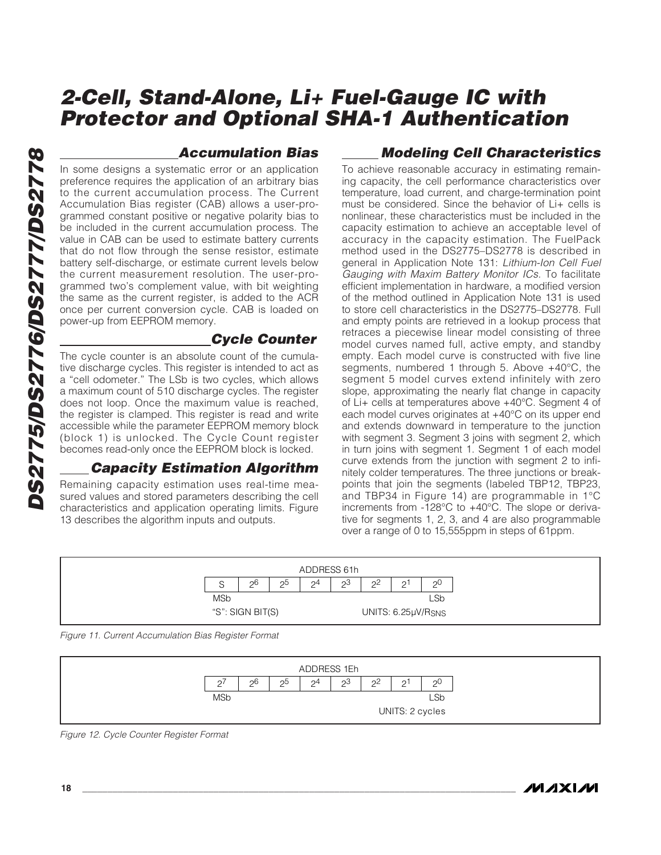### **Accumulation Bias**

In some designs a systematic error or an application preference requires the application of an arbitrary bias to the current accumulation process. The Current Accumulation Bias register (CAB) allows a user-programmed constant positive or negative polarity bias to be included in the current accumulation process. The value in CAB can be used to estimate battery currents that do not flow through the sense resistor, estimate battery self-discharge, or estimate current levels below the current measurement resolution. The user-programmed two's complement value, with bit weighting the same as the current register, is added to the ACR once per current conversion cycle. CAB is loaded on power-up from EEPROM memory.

#### **Cycle Counter**

The cycle counter is an absolute count of the cumulative discharge cycles. This register is intended to act as a "cell odometer." The LSb is two cycles, which allows a maximum count of 510 discharge cycles. The register does not loop. Once the maximum value is reached, the register is clamped. This register is read and write accessible while the parameter EEPROM memory block (block 1) is unlocked. The Cycle Count register becomes read-only once the EEPROM block is locked.

#### **Capacity Estimation Algorithm**

Remaining capacity estimation uses real-time measured values and stored parameters describing the cell characteristics and application operating limits. Figure 13 describes the algorithm inputs and outputs.

### **Modeling Cell Characteristics**

To achieve reasonable accuracy in estimating remaining capacity, the cell performance characteristics over temperature, load current, and charge-termination point must be considered. Since the behavior of Li+ cells is nonlinear, these characteristics must be included in the capacity estimation to achieve an acceptable level of accuracy in the capacity estimation. The FuelPack method used in the DS2775–DS2778 is described in general in Application Note 131: Lithium-Ion Cell Fuel Gauging with Maxim Battery Monitor ICs. To facilitate efficient implementation in hardware, a modified version of the method outlined in Application Note 131 is used to store cell characteristics in the DS2775–DS2778. Full and empty points are retrieved in a lookup process that retraces a piecewise linear model consisting of three model curves named full, active empty, and standby empty. Each model curve is constructed with five line segments, numbered 1 through 5. Above +40°C, the segment 5 model curves extend infinitely with zero slope, approximating the nearly flat change in capacity of Li+ cells at temperatures above +40°C. Segment 4 of each model curves originates at +40°C on its upper end and extends downward in temperature to the junction with segment 3. Segment 3 joins with segment 2, which in turn joins with segment 1. Segment 1 of each model curve extends from the junction with segment 2 to infinitely colder temperatures. The three junctions or breakpoints that join the segments (labeled TBP12, TBP23, and TBP34 in Figure 14) are programmable in 1°C increments from -128°C to +40°C. The slope or derivative for segments 1, 2, 3, and 4 are also programmable over a range of 0 to 15,555ppm in steps of 61ppm.



Figure 11. Current Accumulation Bias Register Format



Figure 12. Cycle Counter Register Format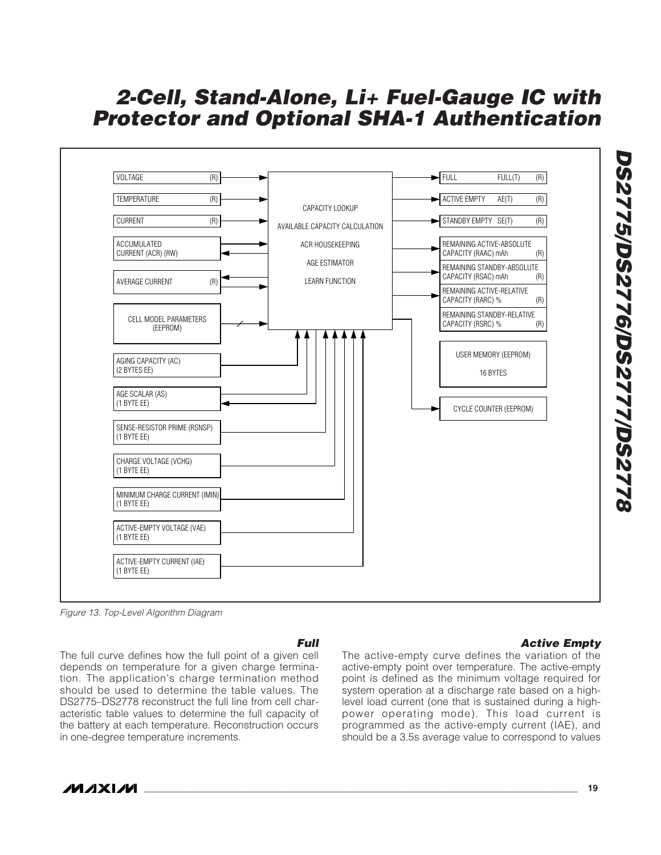

Figure 13. Top-Level Algorithm Diagram

#### **Full**

The full curve defines how the full point of a given cell depends on temperature for a given charge termination. The application's charge termination method should be used to determine the table values. The DS2775–DS2778 reconstruct the full line from cell characteristic table values to determine the full capacity of the battery at each temperature. Reconstruction occurs in one-degree temperature increments.

#### **Active Empty**

The active-empty curve defines the variation of the active-empty point over temperature. The active-empty point is defined as the minimum voltage required for system operation at a discharge rate based on a highlevel load current (one that is sustained during a highpower operating mode). This load current is programmed as the active-empty current (IAE), and should be a 3.5s average value to correspond to values



**DS2775/DS2776/DS2777/DS2778**

**DS2775/DS2776/DS27770S2778**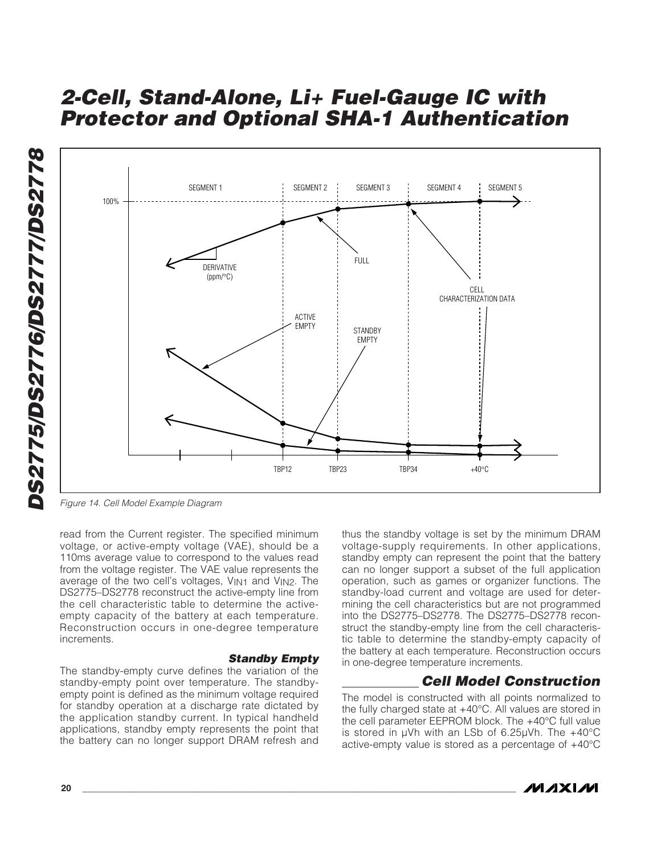



Figure 14. Cell Model Example Diagram

read from the Current register. The specified minimum voltage, or active-empty voltage (VAE), should be a 110ms average value to correspond to the values read from the voltage register. The VAE value represents the average of the two cell's voltages, V<sub>IN1</sub> and V<sub>IN2</sub>. The DS2775–DS2778 reconstruct the active-empty line from the cell characteristic table to determine the activeempty capacity of the battery at each temperature. Reconstruction occurs in one-degree temperature increments.

#### **Standby Empty**

The standby-empty curve defines the variation of the standby-empty point over temperature. The standbyempty point is defined as the minimum voltage required for standby operation at a discharge rate dictated by the application standby current. In typical handheld applications, standby empty represents the point that the battery can no longer support DRAM refresh and

thus the standby voltage is set by the minimum DRAM voltage-supply requirements. In other applications, standby empty can represent the point that the battery can no longer support a subset of the full application operation, such as games or organizer functions. The standby-load current and voltage are used for determining the cell characteristics but are not programmed into the DS2775–DS2778. The DS2775–DS2778 reconstruct the standby-empty line from the cell characteristic table to determine the standby-empty capacity of the battery at each temperature. Reconstruction occurs in one-degree temperature increments.

#### **Cell Model Construction**

The model is constructed with all points normalized to the fully charged state at +40°C. All values are stored in the cell parameter EEPROM block. The +40°C full value is stored in µVh with an LSb of 6.25µVh. The +40°C active-empty value is stored as a percentage of +40°C

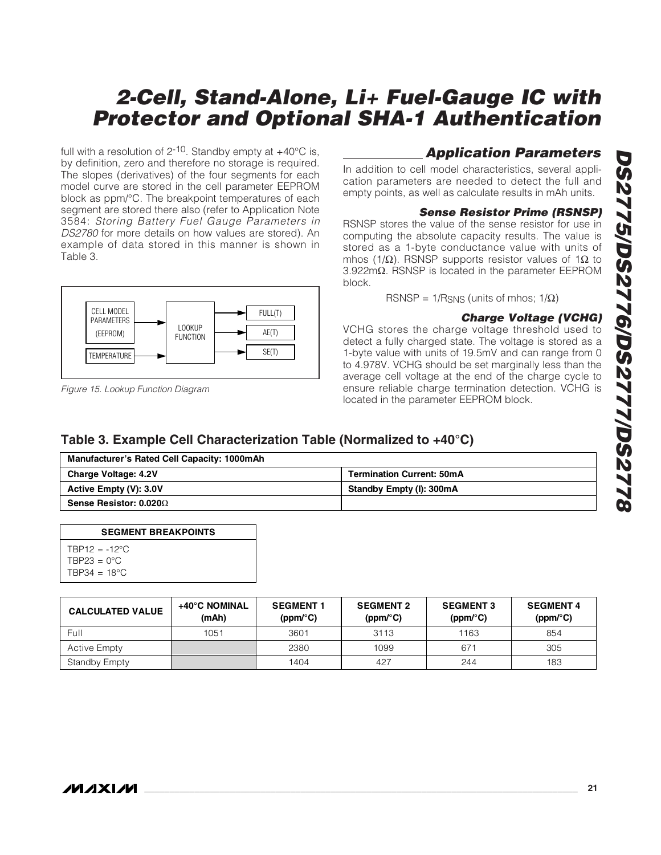full with a resolution of  $2^{-10}$ . Standby empty at  $+40^{\circ}$ C is, by definition, zero and therefore no storage is required. The slopes (derivatives) of the four segments for each model curve are stored in the cell parameter EEPROM block as ppm/°C. The breakpoint temperatures of each segment are stored there also (refer to Application Note 3584: Storing Battery Fuel Gauge Parameters in DS2780 for more details on how values are stored). An example of data stored in this manner is shown in Table 3.



Figure 15. Lookup Function Diagram

### **Application Parameters**

In addition to cell model characteristics, several application parameters are needed to detect the full and empty points, as well as calculate results in mAh units.

#### **Sense Resistor Prime (RSNSP)**

RSNSP stores the value of the sense resistor for use in computing the absolute capacity results. The value is stored as a 1-byte conductance value with units of mhos (1/Ω). RSNSP supports resistor values of 1Ω to 3.922mΩ. RSNSP is located in the parameter EEPROM block.

RSNSP =  $1/R_{SNS}$  (units of mhos;  $1/\Omega$ )

#### **Charge Voltage (VCHG)**

VCHG stores the charge voltage threshold used to detect a fully charged state. The voltage is stored as a 1-byte value with units of 19.5mV and can range from 0 to 4.978V. VCHG should be set marginally less than the average cell voltage at the end of the charge cycle to ensure reliable charge termination detection. VCHG is located in the parameter EEPROM block.

### **Table 3. Example Cell Characterization Table (Normalized to +40°C)**

| <b>Manufacturer's Rated Cell Capacity: 1000mAh</b> |                                  |
|----------------------------------------------------|----------------------------------|
| <b>Charge Voltage: 4.2V</b>                        | <b>Termination Current: 50mA</b> |
| Active Empty (V): 3.0V                             | Standby Empty (I): 300mA         |
| Sense Resistor: $0.020\Omega$                      |                                  |

| <b>SEGMENT BREAKPOINTS</b> |
|----------------------------|
| $TRP12 = -12^{\circ}C$     |
| $TBP23 = 0^{\circ}C$       |
| TBP34 = 18 $^{\circ}$ C    |

**CALCULATED VALUE +40°C NOMINAL (mAh) SEGMENT 1 (ppm/°C) SEGMENT 2 (ppm/°C) SEGMENT 3 (ppm/°C) SEGMENT 4 (ppm/°C)**  Full 1051 3601 3113 1163 854 Active Empty 2380 | 1099 | 671 | 305 Standby Empty 1383 (1892) 1404 1404 1627 244 183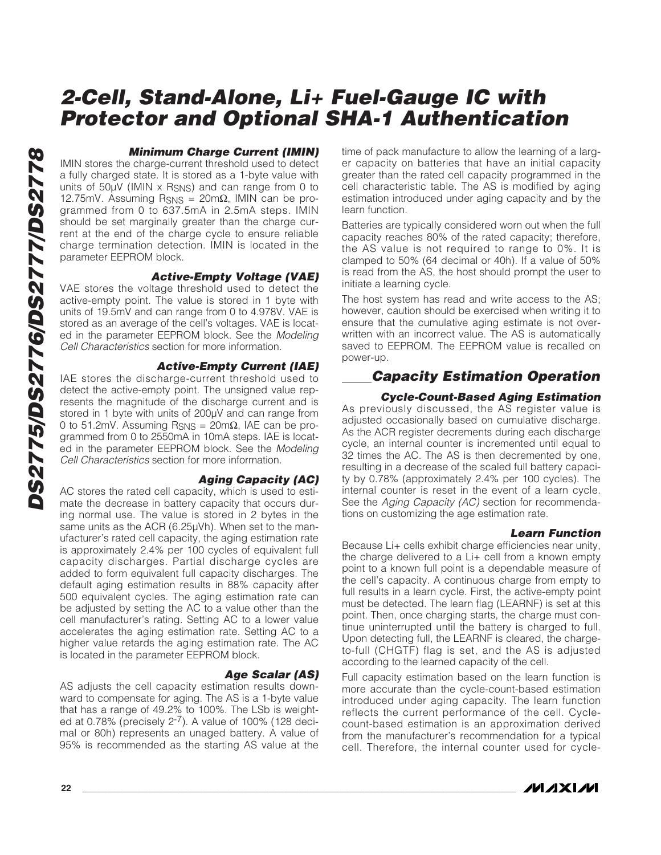#### **Minimum Charge Current (IMIN)**

IMIN stores the charge-current threshold used to detect a fully charged state. It is stored as a 1-byte value with units of 50µV (IMIN x R<sub>SNS</sub>) and can range from 0 to 12.75mV. Assuming  $R_{\rm SNS} = 20 \text{m}\Omega$ , IMIN can be programmed from 0 to 637.5mA in 2.5mA steps. IMIN should be set marginally greater than the charge current at the end of the charge cycle to ensure reliable charge termination detection. IMIN is located in the parameter EEPROM block.

#### **Active-Empty Voltage (VAE)**

VAE stores the voltage threshold used to detect the active-empty point. The value is stored in 1 byte with units of 19.5mV and can range from 0 to 4.978V. VAE is stored as an average of the cell's voltages. VAE is located in the parameter EEPROM block. See the Modeling Cell Characteristics section for more information.

#### **Active-Empty Current (IAE)**

IAE stores the discharge-current threshold used to detect the active-empty point. The unsigned value represents the magnitude of the discharge current and is stored in 1 byte with units of 200µV and can range from 0 to 51.2mV. Assuming RSNS = 20mΩ, IAE can be programmed from 0 to 2550mA in 10mA steps. IAE is located in the parameter EEPROM block. See the Modeling Cell Characteristics section for more information.

#### **Aging Capacity (AC)**

AC stores the rated cell capacity, which is used to estimate the decrease in battery capacity that occurs during normal use. The value is stored in 2 bytes in the same units as the ACR (6.25µVh). When set to the manufacturer's rated cell capacity, the aging estimation rate is approximately 2.4% per 100 cycles of equivalent full capacity discharges. Partial discharge cycles are added to form equivalent full capacity discharges. The default aging estimation results in 88% capacity after 500 equivalent cycles. The aging estimation rate can be adjusted by setting the AC to a value other than the cell manufacturer's rating. Setting AC to a lower value accelerates the aging estimation rate. Setting AC to a higher value retards the aging estimation rate. The AC is located in the parameter EEPROM block.

#### **Age Scalar (AS)**

AS adjusts the cell capacity estimation results downward to compensate for aging. The AS is a 1-byte value that has a range of 49.2% to 100%. The LSb is weighted at 0.78% (precisely  $2^{-7}$ ). A value of 100% (128 decimal or 80h) represents an unaged battery. A value of 95% is recommended as the starting AS value at the

time of pack manufacture to allow the learning of a larger capacity on batteries that have an initial capacity greater than the rated cell capacity programmed in the cell characteristic table. The AS is modified by aging estimation introduced under aging capacity and by the learn function.

Batteries are typically considered worn out when the full capacity reaches 80% of the rated capacity; therefore, the AS value is not required to range to 0%. It is clamped to 50% (64 decimal or 40h). If a value of 50% is read from the AS, the host should prompt the user to initiate a learning cycle.

The host system has read and write access to the AS; however, caution should be exercised when writing it to ensure that the cumulative aging estimate is not overwritten with an incorrect value. The AS is automatically saved to EEPROM. The EEPROM value is recalled on power-up.

#### **Capacity Estimation Operation**

#### **Cycle-Count-Based Aging Estimation**

As previously discussed, the AS register value is adjusted occasionally based on cumulative discharge. As the ACR register decrements during each discharge cycle, an internal counter is incremented until equal to 32 times the AC. The AS is then decremented by one, resulting in a decrease of the scaled full battery capacity by 0.78% (approximately 2.4% per 100 cycles). The internal counter is reset in the event of a learn cycle. See the Aging Capacity (AC) section for recommendations on customizing the age estimation rate.

#### **Learn Function**

Because Li+ cells exhibit charge efficiencies near unity, the charge delivered to a Li+ cell from a known empty point to a known full point is a dependable measure of the cell's capacity. A continuous charge from empty to full results in a learn cycle. First, the active-empty point must be detected. The learn flag (LEARNF) is set at this point. Then, once charging starts, the charge must continue uninterrupted until the battery is charged to full. Upon detecting full, the LEARNF is cleared, the chargeto-full (CHGTF) flag is set, and the AS is adjusted according to the learned capacity of the cell.

Full capacity estimation based on the learn function is more accurate than the cycle-count-based estimation introduced under aging capacity. The learn function reflects the current performance of the cell. Cyclecount-based estimation is an approximation derived from the manufacturer's recommendation for a typical cell. Therefore, the internal counter used for cycle-

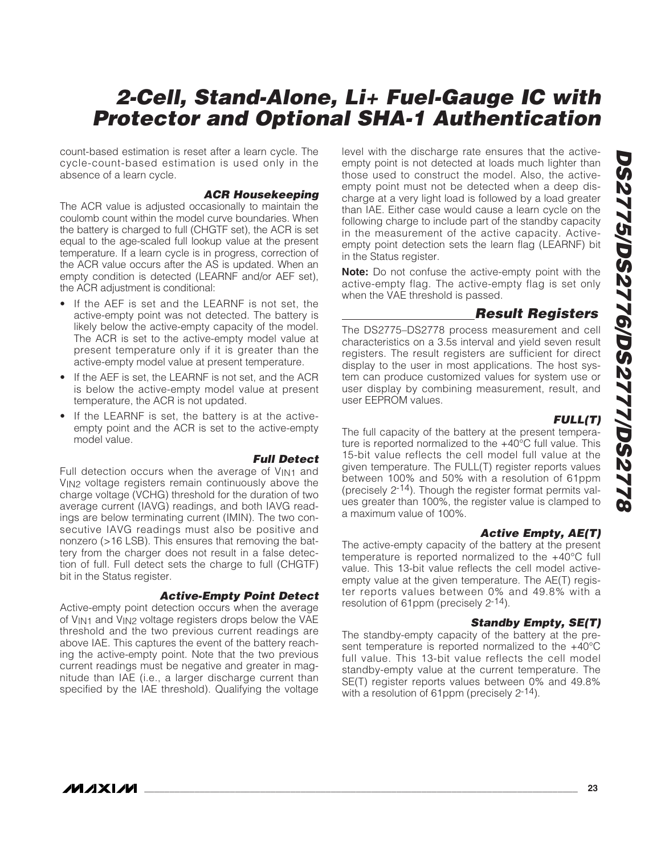count-based estimation is reset after a learn cycle. The cycle-count-based estimation is used only in the absence of a learn cycle.

#### **ACR Housekeeping**

The ACR value is adjusted occasionally to maintain the coulomb count within the model curve boundaries. When the battery is charged to full (CHGTF set), the ACR is set equal to the age-scaled full lookup value at the present temperature. If a learn cycle is in progress, correction of the ACR value occurs after the AS is updated. When an empty condition is detected (LEARNF and/or AEF set), the ACR adjustment is conditional:

- If the AEF is set and the LEARNF is not set, the active-empty point was not detected. The battery is likely below the active-empty capacity of the model. The ACR is set to the active-empty model value at present temperature only if it is greater than the active-empty model value at present temperature.
- If the AEF is set, the LEARNF is not set, and the ACR is below the active-empty model value at present temperature, the ACR is not updated.
- If the LEARNF is set, the battery is at the activeempty point and the ACR is set to the active-empty model value.

#### **Full Detect**

Full detection occurs when the average of V<sub>IN1</sub> and V<sub>IN2</sub> voltage registers remain continuously above the charge voltage (VCHG) threshold for the duration of two average current (IAVG) readings, and both IAVG readings are below terminating current (IMIN). The two consecutive IAVG readings must also be positive and nonzero (>16 LSB). This ensures that removing the battery from the charger does not result in a false detection of full. Full detect sets the charge to full (CHGTF) bit in the Status register.

#### **Active-Empty Point Detect**

Active-empty point detection occurs when the average of VIN1 and VIN2 voltage registers drops below the VAE threshold and the two previous current readings are above IAE. This captures the event of the battery reaching the active-empty point. Note that the two previous current readings must be negative and greater in magnitude than IAE (i.e., a larger discharge current than specified by the IAE threshold). Qualifying the voltage

level with the discharge rate ensures that the activeempty point is not detected at loads much lighter than those used to construct the model. Also, the activeempty point must not be detected when a deep discharge at a very light load is followed by a load greater than IAE. Either case would cause a learn cycle on the following charge to include part of the standby capacity in the measurement of the active capacity. Activeempty point detection sets the learn flag (LEARNF) bit in the Status register.

**Note:** Do not confuse the active-empty point with the active-empty flag. The active-empty flag is set only when the VAE threshold is passed.

#### **Result Registers**

The DS2775–DS2778 process measurement and cell characteristics on a 3.5s interval and yield seven result registers. The result registers are sufficient for direct display to the user in most applications. The host system can produce customized values for system use or user display by combining measurement, result, and user EEPROM values.

#### **FULL(T)**

The full capacity of the battery at the present temperature is reported normalized to the +40°C full value. This 15-bit value reflects the cell model full value at the given temperature. The FULL(T) register reports values between 100% and 50% with a resolution of 61ppm (precisely 2-14). Though the register format permits values greater than 100%, the register value is clamped to a maximum value of 100%.

#### **Active Empty, AE(T)**

The active-empty capacity of the battery at the present temperature is reported normalized to the +40°C full value. This 13-bit value reflects the cell model activeempty value at the given temperature. The AE(T) register reports values between 0% and 49.8% with a resolution of 61ppm (precisely 2-14).

#### **Standby Empty, SE(T)**

The standby-empty capacity of the battery at the present temperature is reported normalized to the +40°C full value. This 13-bit value reflects the cell model standby-empty value at the current temperature. The SE(T) register reports values between 0% and 49.8% with a resolution of 61ppm (precisely  $2^{-14}$ ).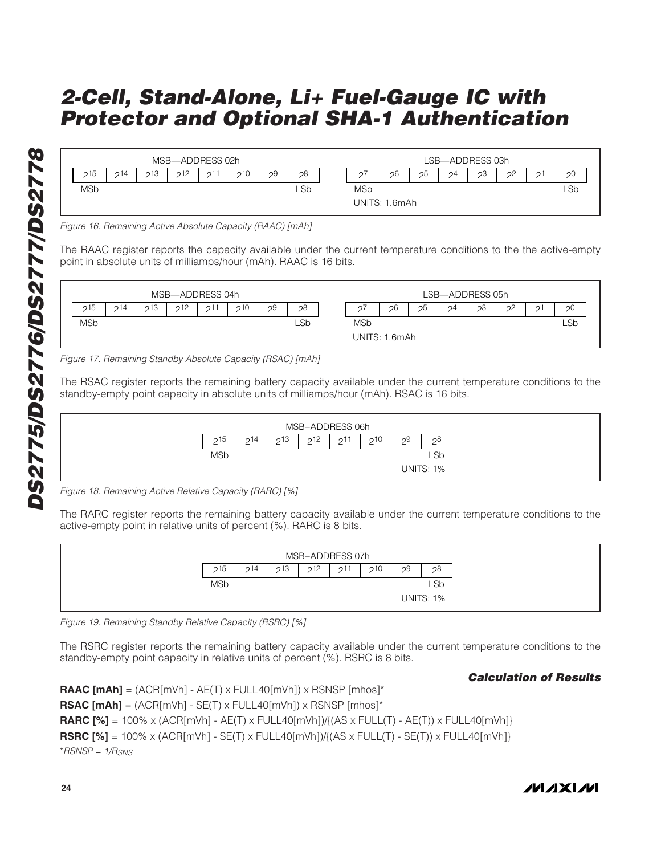|            |                 |                 | MSB-ADDRESS 02h |    |     |    |                |                    |               |                |                    | LSB-ADDRESS 03h     |                     |        |           |
|------------|-----------------|-----------------|-----------------|----|-----|----|----------------|--------------------|---------------|----------------|--------------------|---------------------|---------------------|--------|-----------|
| 215<br>←   | 214<br><u>.</u> | 213<br><u>.</u> | 212             | 21 | 210 | 29 | 28<br><u>_</u> | $\mathcal{D}$<br>∸ | 26            | 25<br><u>_</u> | $\mathcal{Q}$<br>∸ | 2 <sup>3</sup><br>∸ | 2 <sup>2</sup><br>∸ | ີ<br>∸ | - 26<br>∸ |
| <b>MSb</b> |                 |                 |                 |    |     |    | LSb            | MSb                |               |                |                    |                     |                     |        | LSb       |
|            |                 |                 |                 |    |     |    |                |                    | UNITS: 1.6mAh |                |                    |                     |                     |        |           |

Figure 16. Remaining Active Absolute Capacity (RAAC) [mAh]

The RAAC register reports the capacity available under the current temperature conditions to the the active-empty point in absolute units of milliamps/hour (mAh). RAAC is 16 bits.



Figure 17. Remaining Standby Absolute Capacity (RSAC) [mAh]

The RSAC register reports the remaining battery capacity available under the current temperature conditions to the standby-empty point capacity in absolute units of milliamps/hour (mAh). RSAC is 16 bits.



Figure 18. Remaining Active Relative Capacity (RARC) [%]

The RARC register reports the remaining battery capacity available under the current temperature conditions to the active-empty point in relative units of percent (%). RARC is 8 bits.

|                 |     |     | MSB-ADDRESS 07h |                |     |         |                  |
|-----------------|-----|-----|-----------------|----------------|-----|---------|------------------|
| 215<br><u>.</u> | 214 | 213 | 212             | $\mathcal{D}1$ | 210 | 29<br>⊂ | 28<br>_          |
| <b>MSb</b>      |     |     |                 |                |     |         | <b>LSb</b>       |
|                 |     |     |                 |                |     |         | <b>UNITS: 1%</b> |

Figure 19. Remaining Standby Relative Capacity (RSRC) [%]

The RSRC register reports the remaining battery capacity available under the current temperature conditions to the standby-empty point capacity in relative units of percent (%). RSRC is 8 bits.

#### **Calculation of Results**

**RAAC**  $[mAh] = (ACR[mVh] - AE(T) \times FULL40[mVh]) \times RSNSP [mhos]^*$ **RSAC [mAh]** = (ACR[mVh] - SE(T) x FULL40[mVh]) x RSNSP [mhos]\* **RARC**  $[\%] = 100\% \times (ACR[mVh] - AE(T) \times FULL40[mVh]) / {(AS \times FULL(T) - AE(T)) \times FULL40[mVh] }$ **RSRC**  $[\%] = 100\% \times (ACR[mVh] - SE(T) \times FULL40[mVh]) / {(AS \times FULL(T) - SE(T)) \times FULL40[mVh] }$  $*RSNSP = 1/R$ SNS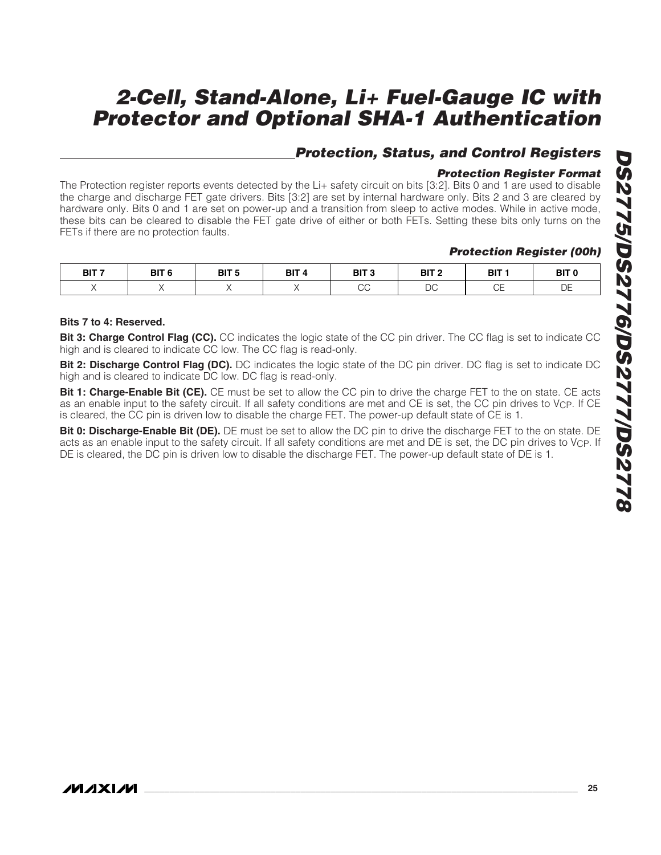## **Protection, Status, and Control Registers**

### **Protection Register Format**

The Protection register reports events detected by the Li+ safety circuit on bits [3:2]. Bits 0 and 1 are used to disable the charge and discharge FET gate drivers. Bits [3:2] are set by internal hardware only. Bits 2 and 3 are cleared by hardware only. Bits 0 and 1 are set on power-up and a transition from sleep to active modes. While in active mode, these bits can be cleared to disable the FET gate drive of either or both FETs. Setting these bits only turns on the FETs if there are no protection faults.

#### **Protection Register (00h)**

| BIT <sub>7</sub> | BIT <sub>6</sub> | BIT <sub>5</sub> | BIT / | BIT <sub>3</sub> | BIT <sub>2</sub>    | BIT :        | BIT <sub>0</sub> |
|------------------|------------------|------------------|-------|------------------|---------------------|--------------|------------------|
|                  |                  |                  |       | $\sim$<br>◡◡     | n <sub>c</sub><br>◡ | $\sim$<br>◡∟ | DE               |

#### **Bits 7 to 4: Reserved.**

**Bit 3: Charge Control Flag (CC).** CC indicates the logic state of the CC pin driver. The CC flag is set to indicate CC high and is cleared to indicate CC low. The CC flag is read-only.

**Bit 2: Discharge Control Flag (DC).** DC indicates the logic state of the DC pin driver. DC flag is set to indicate DC high and is cleared to indicate DC low. DC flag is read-only.

**Bit 1: Charge-Enable Bit (CE).** CE must be set to allow the CC pin to drive the charge FET to the on state. CE acts as an enable input to the safety circuit. If all safety conditions are met and CE is set, the CC pin drives to V<sub>CP</sub>. If CE is cleared, the CC pin is driven low to disable the charge FET. The power-up default state of CE is 1.

**Bit 0: Discharge-Enable Bit (DE).** DE must be set to allow the DC pin to drive the discharge FET to the on state. DE acts as an enable input to the safety circuit. If all safety conditions are met and DE is set, the DC pin drives to V<sub>CP</sub>. If DE is cleared, the DC pin is driven low to disable the discharge FET. The power-up default state of DE is 1.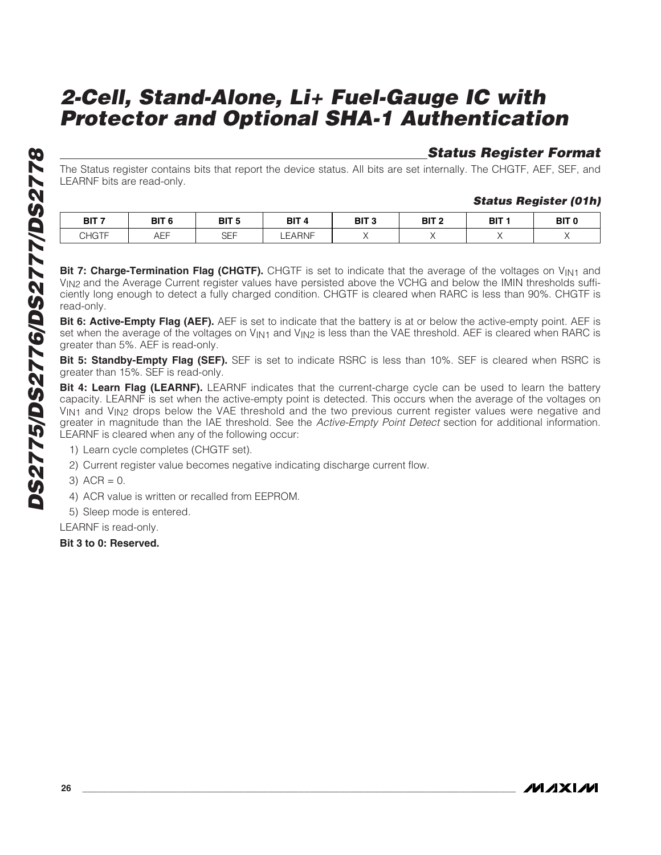## **Status Register Format**

The Status register contains bits that report the device status. All bits are set internally. The CHGTF, AEF, SEF, and LEARNF bits are read-only.

#### **Status Register (01h)**

| BIT <sub>7</sub>               | BIT <sub>6</sub> | ם דום<br>ы<br>×       | BIT /        | BIT <sub>3</sub> | BIT <sub>2</sub> | BIT <sub>1</sub> | <b>BIT O</b> |
|--------------------------------|------------------|-----------------------|--------------|------------------|------------------|------------------|--------------|
| $\bigcap$ $\bigcap$<br>JHU I F | . – –<br>ALL     | C <sub>FT</sub><br>◡∟ | <b>EARNF</b> |                  |                  |                  |              |

**Bit 7: Charge-Termination Flag (CHGTF).** CHGTF is set to indicate that the average of the voltages on V<sub>IN1</sub> and VIN2 and the Average Current register values have persisted above the VCHG and below the IMIN thresholds sufficiently long enough to detect a fully charged condition. CHGTF is cleared when RARC is less than 90%. CHGTF is read-only.

**Bit 6: Active-Empty Flag (AEF).** AEF is set to indicate that the battery is at or below the active-empty point. AEF is set when the average of the voltages on V<sub>IN1</sub> and V<sub>IN2</sub> is less than the VAE threshold. AEF is cleared when RARC is greater than 5%. AEF is read-only.

**Bit 5: Standby-Empty Flag (SEF).** SEF is set to indicate RSRC is less than 10%. SEF is cleared when RSRC is greater than 15%. SEF is read-only.

**Bit 4: Learn Flag (LEARNF).** LEARNF indicates that the current-charge cycle can be used to learn the battery capacity. LEARNF is set when the active-empty point is detected. This occurs when the average of the voltages on V<sub>IN1</sub> and V<sub>IN2</sub> drops below the VAE threshold and the two previous current register values were negative and greater in magnitude than the IAE threshold. See the Active-Empty Point Detect section for additional information. LEARNF is cleared when any of the following occur:

1) Learn cycle completes (CHGTF set).

2) Current register value becomes negative indicating discharge current flow.

 $3)$  ACR = 0.

4) ACR value is written or recalled from EEPROM.

5) Sleep mode is entered.

LEARNF is read-only.

**Bit 3 to 0: Reserved.**

*IVI A* XI*IV*I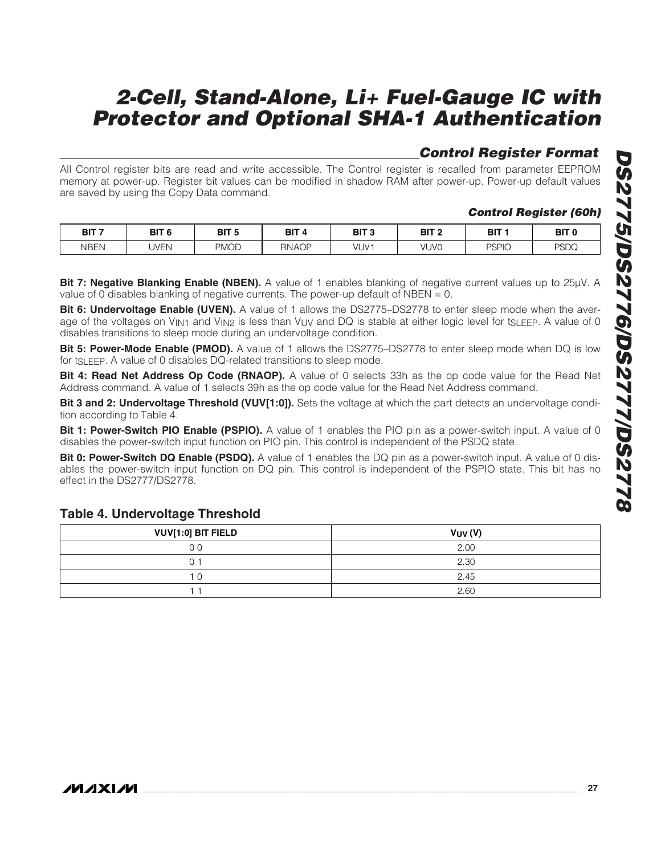## **Control Register Format**

All Control register bits are read and write accessible. The Control register is recalled from parameter EEPROM memory at power-up. Register bit values can be modified in shadow RAM after power-up. Power-up default values are saved by using the Copy Data command.

### **Control Register (60h)**

| BIT <sub>7</sub> | BIT <sub>6</sub> | <b>RIT 5</b><br>ы<br>- 11 | BIT          | BIT <sub>3</sub> | BIT <sub>2</sub> | BIT <sub>1</sub> | BIT <sub>0</sub> |
|------------------|------------------|---------------------------|--------------|------------------|------------------|------------------|------------------|
| NBEN             | JVEN             | <b>PMOD</b>               | <b>RNAOP</b> | VUV1             | VUVO             | <b>PSPIO</b>     | <b>PSDQ</b>      |

**Bit 7: Negative Blanking Enable (NBEN).** A value of 1 enables blanking of negative current values up to 25µV. A value of 0 disables blanking of negative currents. The power-up default of NBEN  $= 0$ .

**Bit 6: Undervoltage Enable (UVEN).** A value of 1 allows the DS2775–DS2778 to enter sleep mode when the average of the voltages on  $V_{\text{IN1}}$  and  $V_{\text{IN2}}$  is less than  $V_{\text{UV}}$  and DQ is stable at either logic level for t<sub>SLEEP</sub>. A value of 0 disables transitions to sleep mode during an undervoltage condition.

**Bit 5: Power-Mode Enable (PMOD).** A value of 1 allows the DS2775–DS2778 to enter sleep mode when DQ is low for tSLEEP. A value of 0 disables DQ-related transitions to sleep mode.

**Bit 4: Read Net Address Op Code (RNAOP).** A value of 0 selects 33h as the op code value for the Read Net Address command. A value of 1 selects 39h as the op code value for the Read Net Address command.

**Bit 3 and 2: Undervoltage Threshold (VUV[1:0]).** Sets the voltage at which the part detects an undervoltage condition according to Table 4.

**Bit 1: Power-Switch PIO Enable (PSPIO).** A value of 1 enables the PIO pin as a power-switch input. A value of 0 disables the power-switch input function on PIO pin. This control is independent of the PSDQ state.

**Bit 0: Power-Switch DQ Enable (PSDQ).** A value of 1 enables the DQ pin as a power-switch input. A value of 0 disables the power-switch input function on DQ pin. This control is independent of the PSPIO state. This bit has no effect in the DS2777/DS2778.

#### **Table 4. Undervoltage Threshold**

| VUV[1:0] BIT FIELD | $V_{UV}$ (V) |
|--------------------|--------------|
| ΟO                 | 2.00         |
|                    | 2.30         |
|                    | 2.45         |
|                    | 2.60         |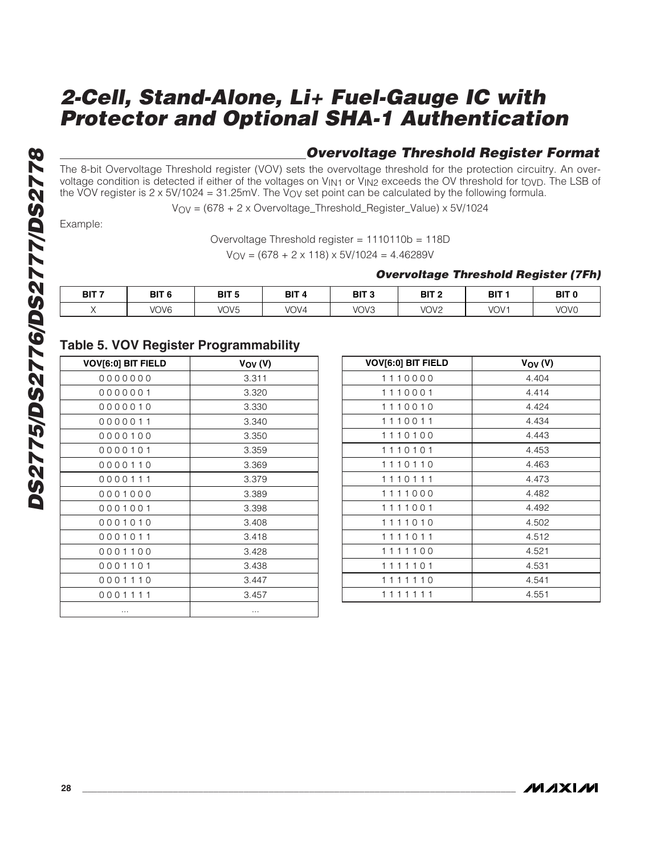### **Overvoltage Threshold Register Format**

The 8-bit Overvoltage Threshold register (VOV) sets the overvoltage threshold for the protection circuitry. An overvoltage condition is detected if either of the voltages on V<sub>IN1</sub> or V<sub>IN2</sub> exceeds the OV threshold for t<sub>OVD</sub>. The LSB of the VOV register is  $2 \times 5V/1024 = 31.25$ mV. The V<sub>OV</sub> set point can be calculated by the following formula.

VOV = (678 + 2 x Overvoltage\_Threshold\_Register\_Value) x 5V/1024

Example:

```
Overvoltage Threshold register = 1110110b = 118D
```
 $V_{\text{OV}} = (678 + 2 \times 118) \times 5 \text{V} / 1024 = 4.46289 \text{V}$ 

#### **Overvoltage Threshold Register (7Fh)**

| DIT 7<br>וום | BIT <sub>6</sub> | BIT <sub>5</sub><br>______ | BIT 4 | BIT <sub>3</sub> | BIT<br>-         | <b>BIT</b>       | BIT <sub>C</sub> |
|--------------|------------------|----------------------------|-------|------------------|------------------|------------------|------------------|
|              | VOV <sub>6</sub> | VOV <sub>5</sub>           | VOV4  | VOV3             | VOV <sub>2</sub> | VOV <sup>-</sup> | VOV0             |

### **Table 5. VOV Register Programmability**

| <b>VOV[6:0] BIT FIELD</b> | $V_{\rm OV}$ (V) |
|---------------------------|------------------|
| 0000000                   | 3.311            |
| 0000001                   | 3.320            |
| 0000010                   | 3.330            |
| 0000011                   | 3.340            |
| 0000100                   | 3.350            |
| 0000101                   | 3.359            |
| 0000110                   | 3.369            |
| 0000111                   | 3.379            |
| 0001000                   | 3.389            |
| 0001001                   | 3.398            |
| 0001010                   | 3.408            |
| 0001011                   | 3.418            |
| 0001100                   | 3.428            |
| 0001101                   | 3.438            |
| 0001110                   | 3.447            |
| 0001111                   | 3.457            |
|                           |                  |

| <b>VOV[6:0] BIT FIELD</b> | $V_{\rm OV}$ (V) |
|---------------------------|------------------|
| 1110000                   | 4.404            |
| 1110001                   | 4.414            |
| 1110010                   | 4.424            |
| 1110011                   | 4.434            |
| 1110100                   | 4.443            |
| 1110101                   | 4.453            |
| 1110110                   | 4.463            |
| 1110111                   | 4.473            |
| 1111000                   | 4.482            |
| 1111001                   | 4.492            |
| 1111010                   | 4.502            |
| 11011<br>11               | 4.512            |
| 1111100                   | 4.521            |
| 1101<br>11<br>1           | 4.531            |
| 110<br>1                  | 4.541            |
| 11<br>1<br>1<br>-1        | 4.551            |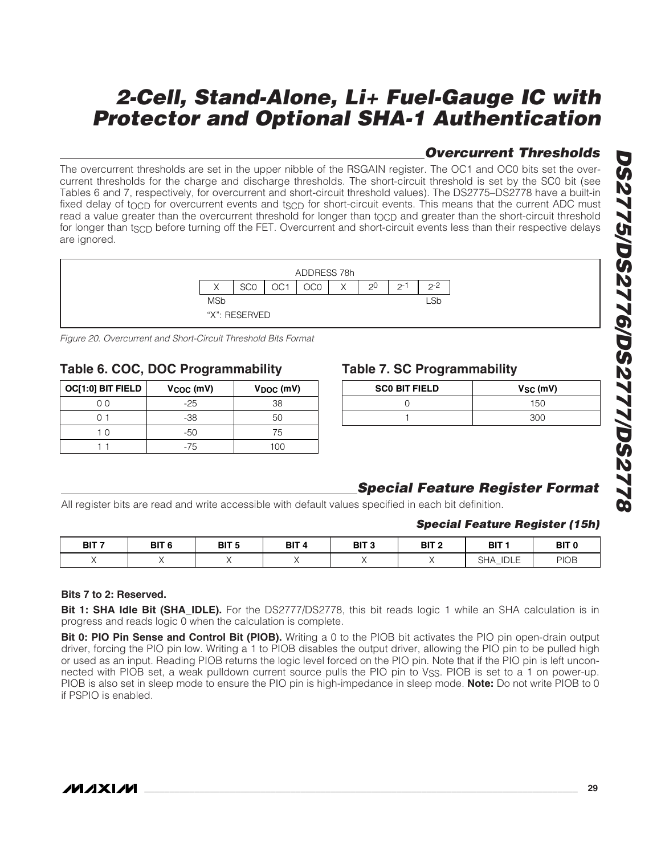## **Overcurrent Thresholds**

The overcurrent thresholds are set in the upper nibble of the RSGAIN register. The OC1 and OC0 bits set the overcurrent thresholds for the charge and discharge thresholds. The short-circuit threshold is set by the SC0 bit (see Tables 6 and 7, respectively, for overcurrent and short-circuit threshold values). The DS2775–DS2778 have a built-in fixed delay of tocp for overcurrent events and tscp for short-circuit events. This means that the current ADC must read a value greater than the overcurrent threshold for longer than tocp and greater than the short-circuit threshold for longer than t<sub>SCD</sub> before turning off the FET. Overcurrent and short-circuit events less than their respective delays are ignored.



Figure 20. Overcurrent and Short-Circuit Threshold Bits Format

### **Table 6. COC, DOC Programmability**

| OC[1:0] BIT FIELD | $VCOC$ (mV) | $V_{DOC}$ (mV) |
|-------------------|-------------|----------------|
| 7 C D             | $-25$       | 38             |
|                   | -38         | 50             |
| 1 ∩               | -50         | 75             |
|                   | $-75$       | 1 በ በ          |

### **Table 7. SC Programmability**

| <b>SCO BIT FIELD</b> | $V_{SC}$ (mV) |
|----------------------|---------------|
|                      | 150           |
|                      | 300           |

## **Special Feature Register Format**

All register bits are read and write accessible with default values specified in each bit definition.

#### **Special Feature Register (15h)**

| BIT <sub>7</sub> | BIT <sub>6</sub> | BIT <sub>5</sub> | BIT 4 | BIT <sub>3</sub> | BIT <sub>2</sub> | BIT 1                                    | BIT <sub>0</sub> |
|------------------|------------------|------------------|-------|------------------|------------------|------------------------------------------|------------------|
|                  |                  |                  |       |                  |                  | IDLE]<br>$\bigcap$ In<br>5HA<br><u>—</u> | <b>PIOB</b>      |

#### **Bits 7 to 2: Reserved.**

**Bit 1: SHA Idle Bit (SHA\_IDLE).** For the DS2777/DS2778, this bit reads logic 1 while an SHA calculation is in progress and reads logic 0 when the calculation is complete.

**Bit 0: PIO Pin Sense and Control Bit (PIOB).** Writing a 0 to the PIOB bit activates the PIO pin open-drain output driver, forcing the PIO pin low. Writing a 1 to PIOB disables the output driver, allowing the PIO pin to be pulled high or used as an input. Reading PIOB returns the logic level forced on the PIO pin. Note that if the PIO pin is left unconnected with PIOB set, a weak pulldown current source pulls the PIO pin to VSS. PIOB is set to a 1 on power-up. PIOB is also set in sleep mode to ensure the PIO pin is high-impedance in sleep mode. **Note:** Do not write PIOB to 0 if PSPIO is enabled.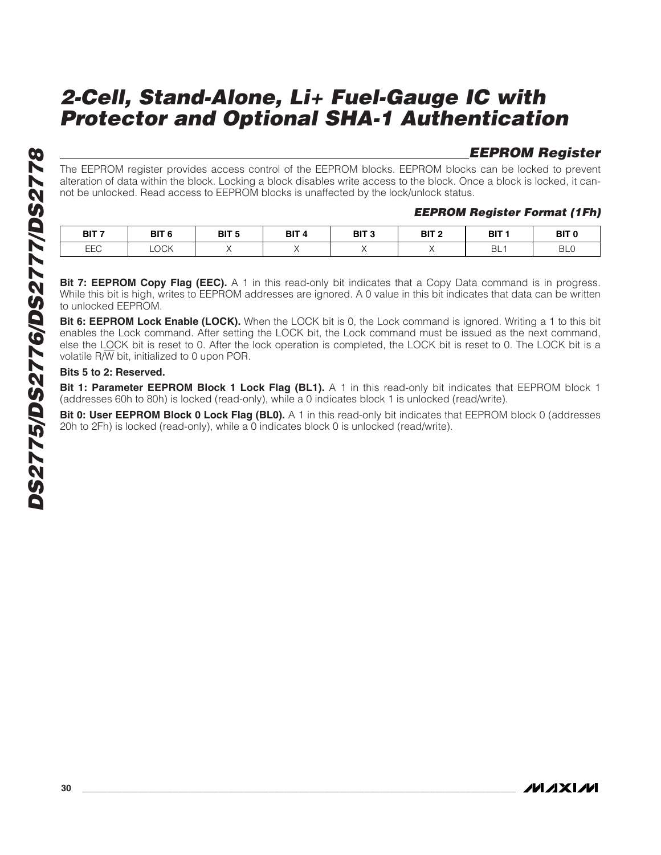### **EEPROM Register**

The EEPROM register provides access control of the EEPROM blocks. EEPROM blocks can be locked to prevent alteration of data within the block. Locking a block disables write access to the block. Once a block is locked, it cannot be unlocked. Read access to EEPROM blocks is unaffected by the lock/unlock status.

#### **EEPROM Register Format (1Fh)**

| BIT <sub>7</sub> | BIT <sub>6</sub> | BIT <sub>5</sub> | BIT <sub>4</sub> | <b>BIT 3</b> | BIT <sub>2</sub> | BIT 1           | BIT <sub>0</sub> |
|------------------|------------------|------------------|------------------|--------------|------------------|-----------------|------------------|
|                  | $\sim$           | $\sim$           |                  | $\sim$       | --- -            |                 | ---              |
| <b>FFC</b><br>느느 | LOCK             |                  |                  |              |                  | BL <sub>1</sub> | BL <sub>C</sub>  |

**Bit 7: EEPROM Copy Flag (EEC).** A 1 in this read-only bit indicates that a Copy Data command is in progress. While this bit is high, writes to EEPROM addresses are ignored. A 0 value in this bit indicates that data can be written to unlocked EEPROM.

**Bit 6: EEPROM Lock Enable (LOCK).** When the LOCK bit is 0, the Lock command is ignored. Writing a 1 to this bit enables the Lock command. After setting the LOCK bit, the Lock command must be issued as the next command, else the LOCK bit is reset to 0. After the lock operation is completed, the LOCK bit is reset to 0. The LOCK bit is a volatile R/W bit, initialized to 0 upon POR.

#### **Bits 5 to 2: Reserved.**

**Bit 1: Parameter EEPROM Block 1 Lock Flag (BL1).** A 1 in this read-only bit indicates that EEPROM block 1 (addresses 60h to 80h) is locked (read-only), while a 0 indicates block 1 is unlocked (read/write).

**Bit 0: User EEPROM Block 0 Lock Flag (BL0).** A 1 in this read-only bit indicates that EEPROM block 0 (addresses 20h to 2Fh) is locked (read-only), while a 0 indicates block 0 is unlocked (read/write).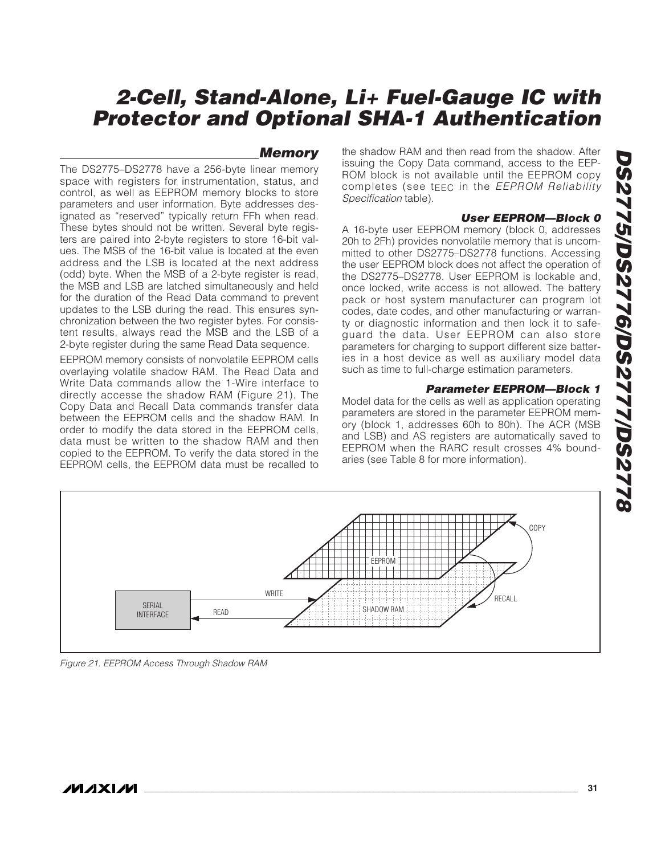#### **Memory**

The DS2775–DS2778 have a 256-byte linear memory space with registers for instrumentation, status, and control, as well as EEPROM memory blocks to store parameters and user information. Byte addresses designated as "reserved" typically return FFh when read. These bytes should not be written. Several byte registers are paired into 2-byte registers to store 16-bit values. The MSB of the 16-bit value is located at the even address and the LSB is located at the next address (odd) byte. When the MSB of a 2-byte register is read, the MSB and LSB are latched simultaneously and held for the duration of the Read Data command to prevent updates to the LSB during the read. This ensures synchronization between the two register bytes. For consistent results, always read the MSB and the LSB of a 2-byte register during the same Read Data sequence.

EEPROM memory consists of nonvolatile EEPROM cells overlaying volatile shadow RAM. The Read Data and Write Data commands allow the 1-Wire interface to directly accesse the shadow RAM (Figure 21). The Copy Data and Recall Data commands transfer data between the EEPROM cells and the shadow RAM. In order to modify the data stored in the EEPROM cells, data must be written to the shadow RAM and then copied to the EEPROM. To verify the data stored in the EEPROM cells, the EEPROM data must be recalled to the shadow RAM and then read from the shadow. After issuing the Copy Data command, access to the EEP-ROM block is not available until the EEPROM copy completes (see tEEC in the EEPROM Reliability Specification table).

#### **User EEPROM—Block 0**

A 16-byte user EEPROM memory (block 0, addresses 20h to 2Fh) provides nonvolatile memory that is uncommitted to other DS2775–DS2778 functions. Accessing the user EEPROM block does not affect the operation of the DS2775–DS2778. User EEPROM is lockable and, once locked, write access is not allowed. The battery pack or host system manufacturer can program lot codes, date codes, and other manufacturing or warranty or diagnostic information and then lock it to safeguard the data. User EEPROM can also store parameters for charging to support different size batteries in a host device as well as auxiliary model data such as time to full-charge estimation parameters.

#### **Parameter EEPROM—Block 1**

Model data for the cells as well as application operating parameters are stored in the parameter EEPROM memory (block 1, addresses 60h to 80h). The ACR (MSB and LSB) and AS registers are automatically saved to EEPROM when the RARC result crosses 4% boundaries (see Table 8 for more information).



Figure 21. EEPROM Access Through Shadow RAM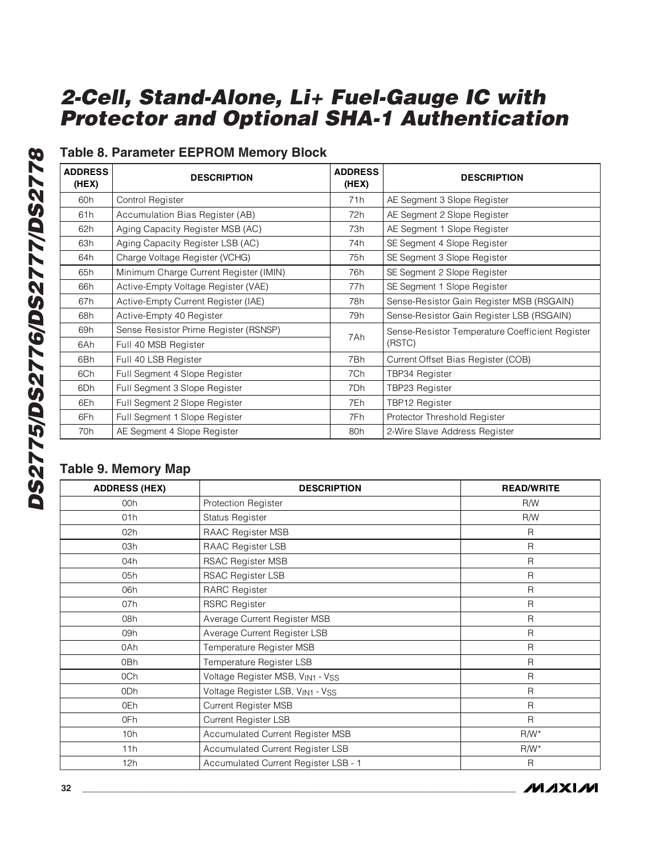## **Table 8. Parameter EEPROM Memory Block**

| <b>ADDRESS</b><br>(HEX) | <b>DESCRIPTION</b>                     | <b>ADDRESS</b><br>(HEX) | <b>DESCRIPTION</b>                              |
|-------------------------|----------------------------------------|-------------------------|-------------------------------------------------|
| 60h                     | Control Register                       | 71 <sub>h</sub>         | AE Segment 3 Slope Register                     |
| 61h                     | Accumulation Bias Register (AB)        | 72h                     | AE Segment 2 Slope Register                     |
| 62h                     | Aging Capacity Register MSB (AC)       | 73h                     | AE Segment 1 Slope Register                     |
| 63h                     | Aging Capacity Register LSB (AC)       | 74h                     | SE Segment 4 Slope Register                     |
| 64h                     | Charge Voltage Register (VCHG)         | 75h                     | SE Segment 3 Slope Register                     |
| 65h                     | Minimum Charge Current Register (IMIN) | 76h                     | SE Segment 2 Slope Register                     |
| 66h                     | Active-Empty Voltage Register (VAE)    | 77h                     | SE Segment 1 Slope Register                     |
| 67h                     | Active-Empty Current Register (IAE)    | 78h                     | Sense-Resistor Gain Register MSB (RSGAIN)       |
| 68h                     | Active-Empty 40 Register               | 79h                     | Sense-Resistor Gain Register LSB (RSGAIN)       |
| 69h                     | Sense Resistor Prime Register (RSNSP)  | 7Ah                     | Sense-Resistor Temperature Coefficient Register |
| 6Ah                     | Full 40 MSB Register                   |                         | (RSTC)                                          |
| 6Bh                     | Full 40 LSB Register                   | 7Bh                     | Current Offset Bias Register (COB)              |
| 6Ch                     | Full Segment 4 Slope Register          | 7Ch                     | TBP34 Register                                  |
| 6Dh                     | Full Segment 3 Slope Register          | 7Dh                     | TBP23 Register                                  |
| 6Eh                     | Full Segment 2 Slope Register          | 7Eh                     | TBP12 Register                                  |
| 6Fh                     | Full Segment 1 Slope Register          | 7Fh                     | Protector Threshold Register                    |
| 70h                     | AE Segment 4 Slope Register            | 80h                     | 2-Wire Slave Address Register                   |

### **Table 9. Memory Map**

| <b>ADDRESS (HEX)</b> | <b>DESCRIPTION</b>                   | <b>READ/WRITE</b> |
|----------------------|--------------------------------------|-------------------|
| 00h                  | Protection Register                  | R/W               |
| 01h                  | Status Register                      | R/W               |
| 02h                  | RAAC Register MSB                    | R                 |
| 03h                  | RAAC Register LSB                    | R                 |
| 04h                  | <b>RSAC Register MSB</b>             | R                 |
| 05h                  | <b>RSAC Register LSB</b>             | $\mathsf{R}$      |
| 06h                  | <b>RARC</b> Register                 | R                 |
| 07h                  | <b>RSRC Register</b>                 | $\mathsf{R}$      |
| 08h                  | Average Current Register MSB         | R                 |
| 09h                  | Average Current Register LSB         | R                 |
| 0Ah                  | Temperature Register MSB             | R                 |
| 0Bh                  | Temperature Register LSB             | $\mathsf{R}$      |
| 0Ch                  | Voltage Register MSB, VIN1 - VSS     | $\mathsf{R}$      |
| 0Dh                  | Voltage Register LSB, VIN1 - VSS     | $\mathsf{R}$      |
| 0Eh                  | Current Register MSB                 | R                 |
| 0Fh                  | <b>Current Register LSB</b>          | $\mathsf{R}$      |
| 10h                  | Accumulated Current Register MSB     | $R/W^*$           |
| 11h                  | Accumulated Current Register LSB     | $R/W^*$           |
| 12h                  | Accumulated Current Register LSB - 1 | R                 |

**MAXIM**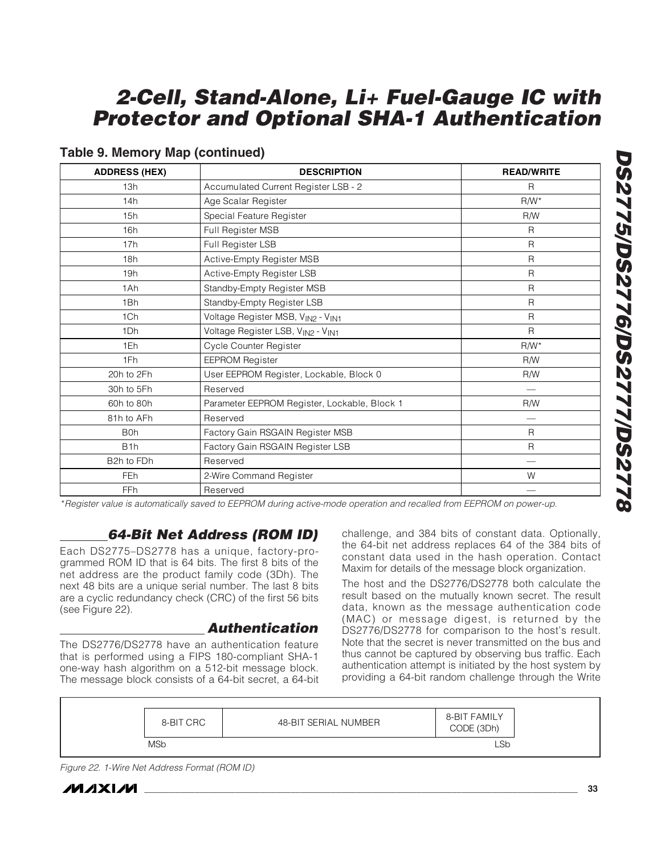| <b>ADDRESS (HEX)</b> | <b>DESCRIPTION</b>                           | <b>READ/WRITE</b> |
|----------------------|----------------------------------------------|-------------------|
| 13h                  | Accumulated Current Register LSB - 2         | R                 |
| 14h                  | Age Scalar Register                          | $R/W^*$           |
| 15h                  | Special Feature Register                     | <b>R/W</b>        |
| 16h                  | Full Register MSB                            | R                 |
| 17h                  | Full Register LSB                            | $\mathsf{R}$      |
| 18h                  | Active-Empty Register MSB                    | R                 |
| 19h                  | Active-Empty Register LSB                    | R                 |
| 1Ah                  | Standby-Empty Register MSB                   | R                 |
| 1Bh                  | Standby-Empty Register LSB                   | R                 |
| 1Ch                  | Voltage Register MSB, VIN2 - VIN1            | R                 |
| 1Dh                  | Voltage Register LSB, VIN2 - VIN1            | $\mathsf{R}$      |
| 1Eh                  | Cycle Counter Register                       | $R/W^*$           |
| 1Fh                  | <b>EEPROM Register</b>                       | R/W               |
| 20h to 2Fh           | User EEPROM Register, Lockable, Block 0      | R/W               |
| 30h to 5Fh           | Reserved                                     | $\hspace{0.05cm}$ |
| 60h to 80h           | Parameter EEPROM Register, Lockable, Block 1 | R/W               |
| 81h to AFh           | Reserved                                     |                   |
| B <sub>0</sub> h     | Factory Gain RSGAIN Register MSB             | R                 |
| B <sub>1</sub> h     | Factory Gain RSGAIN Register LSB             | R                 |
| B2h to FDh           | Reserved                                     |                   |
| <b>FEh</b>           | 2-Wire Command Register                      | W                 |
| <b>FFh</b>           | Reserved                                     |                   |

#### **Table 9. Memory Map (continued)**

\*Register value is automatically saved to EEPROM during active-mode operation and recalled from EEPROM on power-up.

### **64-Bit Net Address (ROM ID)**

Each DS2775–DS2778 has a unique, factory-programmed ROM ID that is 64 bits. The first 8 bits of the net address are the product family code (3Dh). The next 48 bits are a unique serial number. The last 8 bits are a cyclic redundancy check (CRC) of the first 56 bits (see Figure 22).

#### **Authentication**

The DS2776/DS2778 have an authentication feature that is performed using a FIPS 180-compliant SHA-1 one-way hash algorithm on a 512-bit message block. The message block consists of a 64-bit secret, a 64-bit challenge, and 384 bits of constant data. Optionally, the 64-bit net address replaces 64 of the 384 bits of constant data used in the hash operation. Contact Maxim for details of the message block organization.

The host and the DS2776/DS2778 both calculate the result based on the mutually known secret. The result data, known as the message authentication code (MAC) or message digest, is returned by the DS2776/DS2778 for comparison to the host's result. Note that the secret is never transmitted on the bus and thus cannot be captured by observing bus traffic. Each authentication attempt is initiated by the host system by providing a 64-bit random challenge through the Write

|--|

Figure 22. 1-Wire Net Address Format (ROM ID)



**DS2775/DS2776/DS2777/DS2778**

**BZ775/DS2776/DS2777/DS2778**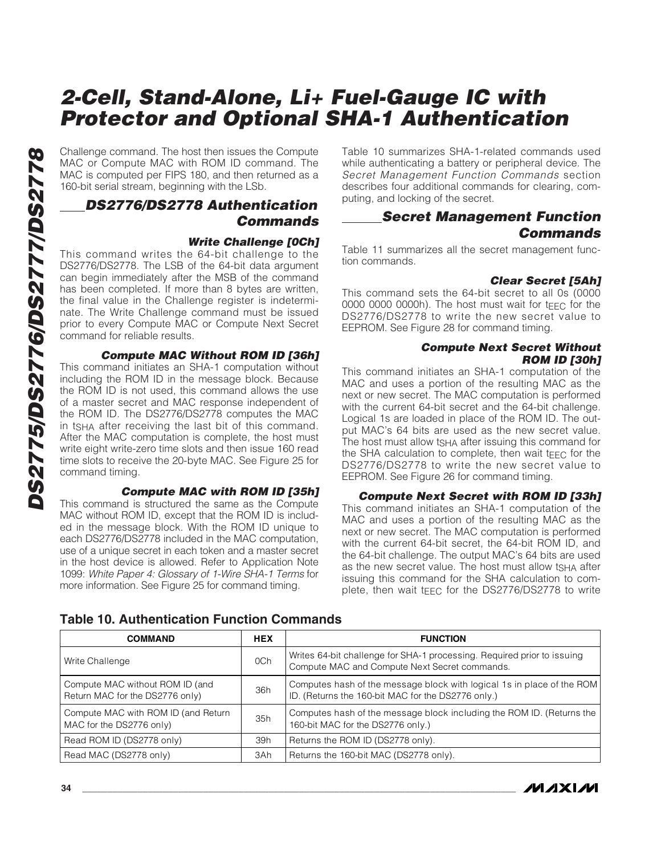Challenge command. The host then issues the Compute MAC or Compute MAC with ROM ID command. The MAC is computed per FIPS 180, and then returned as a 160-bit serial stream, beginning with the LSb.

### **DS2776/DS2778 Authentication Commands**

#### **Write Challenge [0Ch]**

This command writes the 64-bit challenge to the DS2776/DS2778. The LSB of the 64-bit data argument can begin immediately after the MSB of the command has been completed. If more than 8 bytes are written, the final value in the Challenge register is indeterminate. The Write Challenge command must be issued prior to every Compute MAC or Compute Next Secret command for reliable results.

#### **Compute MAC Without ROM ID [36h]**

This command initiates an SHA-1 computation without including the ROM ID in the message block. Because the ROM ID is not used, this command allows the use of a master secret and MAC response independent of the ROM ID. The DS2776/DS2778 computes the MAC in t<sub>SHA</sub> after receiving the last bit of this command. After the MAC computation is complete, the host must write eight write-zero time slots and then issue 160 read time slots to receive the 20-byte MAC. See Figure 25 for command timing.

#### **Compute MAC with ROM ID [35h]**

This command is structured the same as the Compute MAC without ROM ID, except that the ROM ID is included in the message block. With the ROM ID unique to each DS2776/DS2778 included in the MAC computation, use of a unique secret in each token and a master secret in the host device is allowed. Refer to Application Note 1099: White Paper 4: Glossary of 1-Wire SHA-1 Terms for more information. See Figure 25 for command timing.

Table 10 summarizes SHA-1-related commands used while authenticating a battery or peripheral device. The Secret Management Function Commands section describes four additional commands for clearing, computing, and locking of the secret.

#### **Secret Management Function Commands**

Table 11 summarizes all the secret management function commands.

#### **Clear Secret [5Ah]**

This command sets the 64-bit secret to all 0s (0000 0000 0000 0000h). The host must wait for  $t_F \sim$  for the DS2776/DS2778 to write the new secret value to EEPROM. See Figure 28 for command timing.

#### **Compute Next Secret Without ROM ID [30h]**

This command initiates an SHA-1 computation of the MAC and uses a portion of the resulting MAC as the next or new secret. The MAC computation is performed with the current 64-bit secret and the 64-bit challenge. Logical 1s are loaded in place of the ROM ID. The output MAC's 64 bits are used as the new secret value. The host must allow ts<sub>HA</sub> after issuing this command for the SHA calculation to complete, then wait t $FFC$  for the DS2776/DS2778 to write the new secret value to EEPROM. See Figure 26 for command timing.

**Compute Next Secret with ROM ID [33h]** This command initiates an SHA-1 computation of the MAC and uses a portion of the resulting MAC as the next or new secret. The MAC computation is performed with the current 64-bit secret, the 64-bit ROM ID, and the 64-bit challenge. The output MAC's 64 bits are used as the new secret value. The host must allow tsha after issuing this command for the SHA calculation to complete, then wait t<sub>FFC</sub> for the DS2776/DS2778 to write

| <b>COMMAND</b>                                                     | <b>HEX</b> | <b>FUNCTION</b>                                                                                                              |
|--------------------------------------------------------------------|------------|------------------------------------------------------------------------------------------------------------------------------|
| Write Challenge                                                    | OCh        | Writes 64-bit challenge for SHA-1 processing. Required prior to issuing<br>Compute MAC and Compute Next Secret commands.     |
| Compute MAC without ROM ID (and<br>Return MAC for the DS2776 only) | 36h        | Computes hash of the message block with logical 1s in place of the ROM<br>ID. (Returns the 160-bit MAC for the DS2776 only.) |
| Compute MAC with ROM ID (and Return<br>MAC for the DS2776 only)    | 35h        | Computes hash of the message block including the ROM ID. (Returns the<br>160-bit MAC for the DS2776 only.)                   |
| Read ROM ID (DS2778 only)                                          | 39h        | Returns the ROM ID (DS2778 only).                                                                                            |
| Read MAC (DS2778 only)                                             | 3Ah        | Returns the 160-bit MAC (DS2778 only).                                                                                       |

#### **Table 10. Authentication Function Commands**

**MAXIM**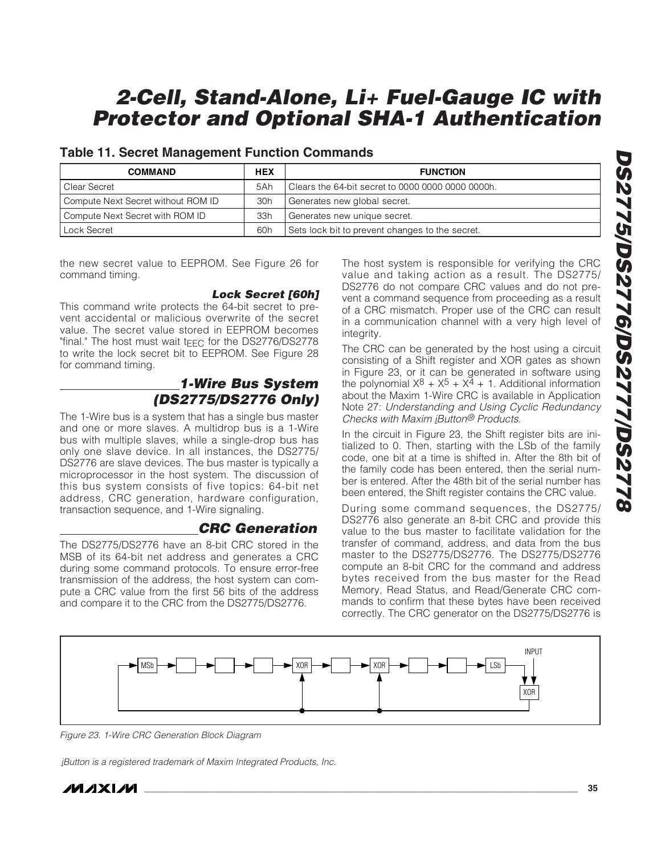#### **Table 11. Secret Management Function Commands**

| <b>COMMAND</b>                     | <b>HEX</b> | <b>FUNCTION</b>                                     |
|------------------------------------|------------|-----------------------------------------------------|
| l Clear Secret                     | 5Ah        | l Clears the 64-bit secret to 0000 0000 0000 0000h. |
| Compute Next Secret without ROM ID | 30h        | Generates new global secret.                        |
| Compute Next Secret with ROM ID    | 33h        | Generates new unique secret.                        |
| Lock Secret                        | 60h        | Sets lock bit to prevent changes to the secret.     |

the new secret value to EEPROM. See Figure 26 for command timing.

#### **Lock Secret [60h]**

This command write protects the 64-bit secret to prevent accidental or malicious overwrite of the secret value. The secret value stored in EEPROM becomes "final." The host must wait t $F_{\text{FC}}$  for the DS2776/DS2778 to write the lock secret bit to EEPROM. See Figure 28 for command timing.

### **1-Wire Bus System (DS2775/DS2776 Only)**

The 1-Wire bus is a system that has a single bus master and one or more slaves. A multidrop bus is a 1-Wire bus with multiple slaves, while a single-drop bus has only one slave device. In all instances, the DS2775/ DS2776 are slave devices. The bus master is typically a microprocessor in the host system. The discussion of this bus system consists of five topics: 64-bit net address, CRC generation, hardware configuration, transaction sequence, and 1-Wire signaling.

### **CRC Generation**

The DS2775/DS2776 have an 8-bit CRC stored in the MSB of its 64-bit net address and generates a CRC during some command protocols. To ensure error-free transmission of the address, the host system can compute a CRC value from the first 56 bits of the address and compare it to the CRC from the DS2775/DS2776.

The host system is responsible for verifying the CRC value and taking action as a result. The DS2775/ DS2776 do not compare CRC values and do not prevent a command sequence from proceeding as a result of a CRC mismatch. Proper use of the CRC can result in a communication channel with a very high level of integrity.

The CRC can be generated by the host using a circuit consisting of a Shift register and XOR gates as shown in Figure 23, or it can be generated in software using the polynomial  $X^8 + X^5 + X^4 + 1$ . Additional information about the Maxim 1-Wire CRC is available in Application Note 27: Understanding and Using Cyclic Redundancy Checks with Maxim iButton® Products.

In the circuit in Figure 23, the Shift register bits are initialized to 0. Then, starting with the LSb of the family code, one bit at a time is shifted in. After the 8th bit of the family code has been entered, then the serial number is entered. After the 48th bit of the serial number has been entered, the Shift register contains the CRC value.

During some command sequences, the DS2775/ DS2776 also generate an 8-bit CRC and provide this value to the bus master to facilitate validation for the transfer of command, address, and data from the bus master to the DS2775/DS2776. The DS2775/DS2776 compute an 8-bit CRC for the command and address bytes received from the bus master for the Read Memory, Read Status, and Read/Generate CRC commands to confirm that these bytes have been received correctly. The CRC generator on the DS2775/DS2776 is



Figure 23. 1-Wire CRC Generation Block Diagram

iButton is a registered trademark of Maxim Integrated Products, Inc.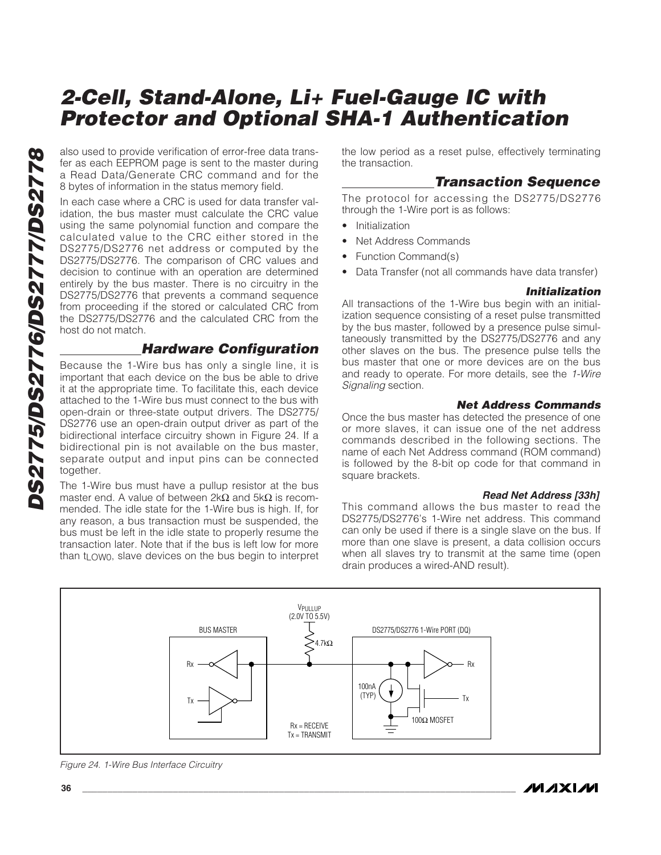also used to provide verification of error-free data transfer as each EEPROM page is sent to the master during a Read Data/Generate CRC command and for the 8 bytes of information in the status memory field.

In each case where a CRC is used for data transfer validation, the bus master must calculate the CRC value using the same polynomial function and compare the calculated value to the CRC either stored in the DS2775/DS2776 net address or computed by the DS2775/DS2776. The comparison of CRC values and decision to continue with an operation are determined entirely by the bus master. There is no circuitry in the DS2775/DS2776 that prevents a command sequence from proceeding if the stored or calculated CRC from the DS2775/DS2776 and the calculated CRC from the host do not match.

### **Hardware Configuration**

Because the 1-Wire bus has only a single line, it is important that each device on the bus be able to drive it at the appropriate time. To facilitate this, each device attached to the 1-Wire bus must connect to the bus with open-drain or three-state output drivers. The DS2775/ DS2776 use an open-drain output driver as part of the bidirectional interface circuitry shown in Figure 24. If a bidirectional pin is not available on the bus master, separate output and input pins can be connected together.

The 1-Wire bus must have a pullup resistor at the bus master end. A value of between  $2kΩ$  and  $5kΩ$  is recommended. The idle state for the 1-Wire bus is high. If, for any reason, a bus transaction must be suspended, the bus must be left in the idle state to properly resume the transaction later. Note that if the bus is left low for more than  $t_{LOW0}$ , slave devices on the bus begin to interpret the low period as a reset pulse, effectively terminating the transaction.

#### **Transaction Sequence**

The protocol for accessing the DS2775/DS2776 through the 1-Wire port is as follows:

- **Initialization**
- Net Address Commands
- Function Command(s)
- Data Transfer (not all commands have data transfer)

#### **Initialization**

All transactions of the 1-Wire bus begin with an initialization sequence consisting of a reset pulse transmitted by the bus master, followed by a presence pulse simultaneously transmitted by the DS2775/DS2776 and any other slaves on the bus. The presence pulse tells the bus master that one or more devices are on the bus and ready to operate. For more details, see the 1-Wire Signaling section.

#### **Net Address Commands**

Once the bus master has detected the presence of one or more slaves, it can issue one of the net address commands described in the following sections. The name of each Net Address command (ROM command) is followed by the 8-bit op code for that command in square brackets.

#### **Read Net Address [33h]**

This command allows the bus master to read the DS2775/DS2776's 1-Wire net address. This command can only be used if there is a single slave on the bus. If more than one slave is present, a data collision occurs when all slaves try to transmit at the same time (open drain produces a wired-AND result).



Figure 24. 1-Wire Bus Interface Circuitry

*IVI A* XI*IV*I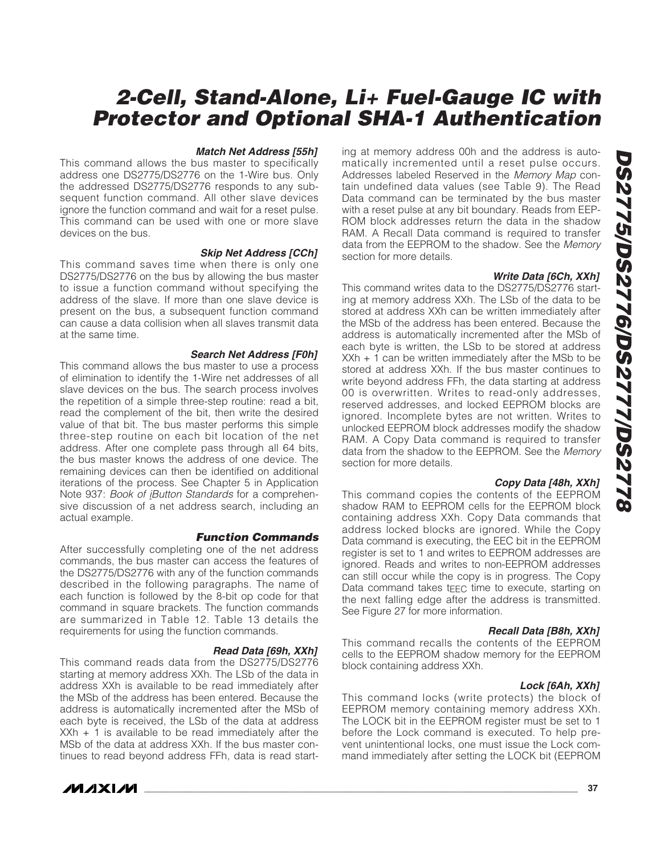#### **Match Net Address [55h]**

This command allows the bus master to specifically address one DS2775/DS2776 on the 1-Wire bus. Only the addressed DS2775/DS2776 responds to any subsequent function command. All other slave devices ignore the function command and wait for a reset pulse. This command can be used with one or more slave devices on the bus.

#### **Skip Net Address [CCh]**

This command saves time when there is only one DS2775/DS2776 on the bus by allowing the bus master to issue a function command without specifying the address of the slave. If more than one slave device is present on the bus, a subsequent function command can cause a data collision when all slaves transmit data at the same time.

#### **Search Net Address [F0h]**

This command allows the bus master to use a process of elimination to identify the 1-Wire net addresses of all slave devices on the bus. The search process involves the repetition of a simple three-step routine: read a bit, read the complement of the bit, then write the desired value of that bit. The bus master performs this simple three-step routine on each bit location of the net address. After one complete pass through all 64 bits, the bus master knows the address of one device. The remaining devices can then be identified on additional iterations of the process. See Chapter 5 in Application Note 937: Book of iButton Standards for a comprehensive discussion of a net address search, including an actual example.

#### **Function Commands**

After successfully completing one of the net address commands, the bus master can access the features of the DS2775/DS2776 with any of the function commands described in the following paragraphs. The name of each function is followed by the 8-bit op code for that command in square brackets. The function commands are summarized in Table 12. Table 13 details the requirements for using the function commands.

#### **Read Data [69h, XXh]**

This command reads data from the DS2775/DS2776 starting at memory address XXh. The LSb of the data in address XXh is available to be read immediately after the MSb of the address has been entered. Because the address is automatically incremented after the MSb of each byte is received, the LSb of the data at address XXh + 1 is available to be read immediately after the MSb of the data at address XXh. If the bus master continues to read beyond address FFh, data is read start-



ing at memory address 00h and the address is automatically incremented until a reset pulse occurs. Addresses labeled Reserved in the Memory Map contain undefined data values (see Table 9). The Read Data command can be terminated by the bus master with a reset pulse at any bit boundary. Reads from EEP-ROM block addresses return the data in the shadow RAM. A Recall Data command is required to transfer data from the EEPROM to the shadow. See the Memory section for more details.

#### **Write Data [6Ch, XXh]**

This command writes data to the DS2775/DS2776 starting at memory address XXh. The LSb of the data to be stored at address XXh can be written immediately after the MSb of the address has been entered. Because the address is automatically incremented after the MSb of each byte is written, the LSb to be stored at address  $XXh + 1$  can be written immediately after the MSb to be stored at address XXh. If the bus master continues to write beyond address FFh, the data starting at address 00 is overwritten. Writes to read-only addresses, reserved addresses, and locked EEPROM blocks are ignored. Incomplete bytes are not written. Writes to unlocked EEPROM block addresses modify the shadow RAM. A Copy Data command is required to transfer data from the shadow to the EEPROM. See the Memory section for more details.

#### **Copy Data [48h, XXh]**

This command copies the contents of the EEPROM shadow RAM to EEPROM cells for the EEPROM block containing address XXh. Copy Data commands that address locked blocks are ignored. While the Copy Data command is executing, the EEC bit in the EEPROM register is set to 1 and writes to EEPROM addresses are ignored. Reads and writes to non-EEPROM addresses can still occur while the copy is in progress. The Copy Data command takes tEEC time to execute, starting on the next falling edge after the address is transmitted. See Figure 27 for more information.

#### **Recall Data [B8h, XXh]**

This command recalls the contents of the EEPROM cells to the EEPROM shadow memory for the EEPROM block containing address XXh.

#### **Lock [6Ah, XXh]**

This command locks (write protects) the block of EEPROM memory containing memory address XXh. The LOCK bit in the EEPROM register must be set to 1 before the Lock command is executed. To help prevent unintentional locks, one must issue the Lock command immediately after setting the LOCK bit (EEPROM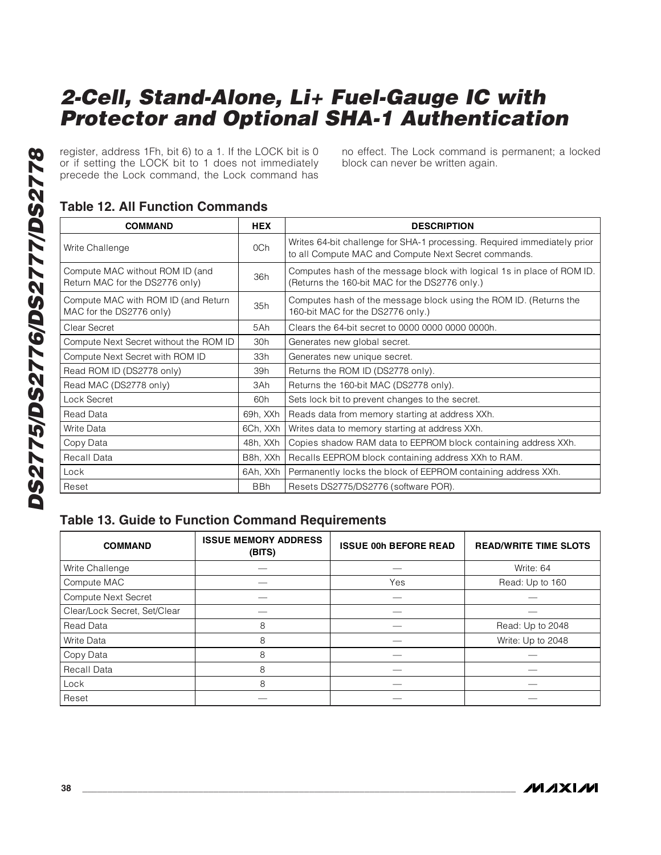register, address 1Fh, bit 6) to a 1. If the LOCK bit is 0 or if setting the LOCK bit to 1 does not immediately precede the Lock command, the Lock command has no effect. The Lock command is permanent; a locked block can never be written again.

## **Table 12. All Function Commands**

| <b>COMMAND</b>                                                     | <b>HEX</b> | <b>DESCRIPTION</b>                                                                                                               |
|--------------------------------------------------------------------|------------|----------------------------------------------------------------------------------------------------------------------------------|
| Write Challenge                                                    | 0Ch        | Writes 64-bit challenge for SHA-1 processing. Required immediately prior<br>to all Compute MAC and Compute Next Secret commands. |
| Compute MAC without ROM ID (and<br>Return MAC for the DS2776 only) | 36h        | Computes hash of the message block with logical 1s in place of ROM ID.<br>(Returns the 160-bit MAC for the DS2776 only.)         |
| Compute MAC with ROM ID (and Return<br>MAC for the DS2776 only)    | 35h        | Computes hash of the message block using the ROM ID. (Returns the<br>160-bit MAC for the DS2776 only.)                           |
| Clear Secret                                                       | 5Ah        | Clears the 64-bit secret to 0000 0000 0000 0000h.                                                                                |
| Compute Next Secret without the ROM ID                             | 30h        | Generates new global secret.                                                                                                     |
| Compute Next Secret with ROM ID                                    | 33h        | Generates new unique secret.                                                                                                     |
| Read ROM ID (DS2778 only)                                          | 39h        | Returns the ROM ID (DS2778 only).                                                                                                |
| Read MAC (DS2778 only)                                             | 3Ah        | Returns the 160-bit MAC (DS2778 only).                                                                                           |
| Lock Secret                                                        | 60h        | Sets lock bit to prevent changes to the secret.                                                                                  |
| Read Data                                                          | 69h, XXh   | Reads data from memory starting at address XXh.                                                                                  |
| Write Data                                                         | 6Ch, XXh   | Writes data to memory starting at address XXh.                                                                                   |
| Copy Data                                                          | 48h, XXh   | Copies shadow RAM data to EEPROM block containing address XXh.                                                                   |
| Recall Data                                                        | B8h, XXh   | Recalls EEPROM block containing address XXh to RAM.                                                                              |
| Lock                                                               | 6Ah, XXh   | Permanently locks the block of EEPROM containing address XXh.                                                                    |
| Reset                                                              | <b>BBh</b> | Resets DS2775/DS2776 (software POR).                                                                                             |

#### **Table 13. Guide to Function Command Requirements**

| <b>COMMAND</b>               | <b>ISSUE MEMORY ADDRESS</b><br>(BITS) | <b>ISSUE 00h BEFORE READ</b> | <b>READ/WRITE TIME SLOTS</b> |
|------------------------------|---------------------------------------|------------------------------|------------------------------|
| Write Challenge              |                                       |                              | Write: 64                    |
| Compute MAC                  |                                       | Yes                          | Read: Up to 160              |
| Compute Next Secret          |                                       |                              |                              |
| Clear/Lock Secret, Set/Clear |                                       |                              |                              |
| Read Data                    | 8                                     |                              | Read: Up to 2048             |
| Write Data                   | 8                                     |                              | Write: Up to 2048            |
| Copy Data                    | 8                                     |                              |                              |
| Recall Data                  | 8                                     |                              |                              |
| Lock                         | 8                                     |                              |                              |
| Reset                        |                                       |                              |                              |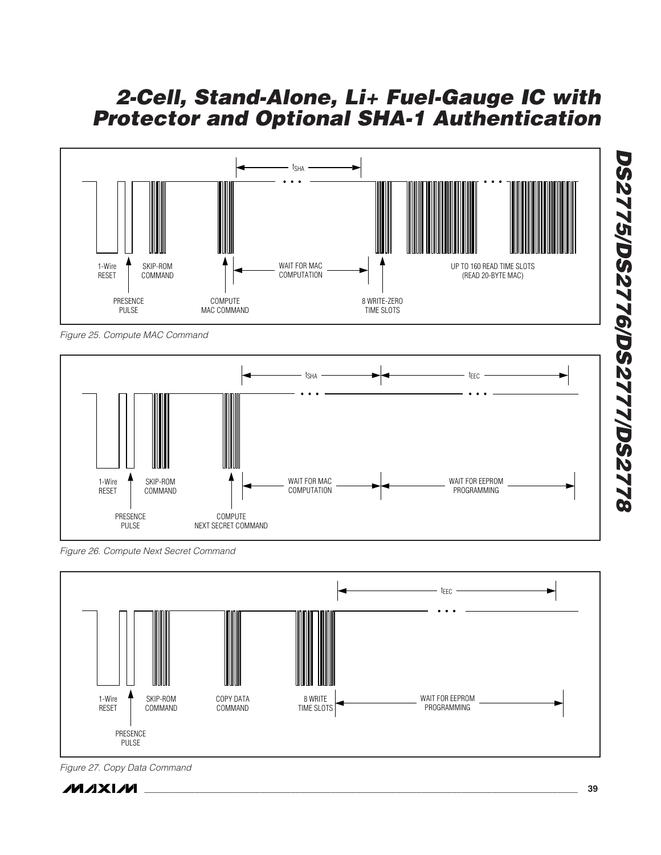

Figure 25. Compute MAC Command



Figure 26. Compute Next Secret Command



Figure 27. Copy Data Command

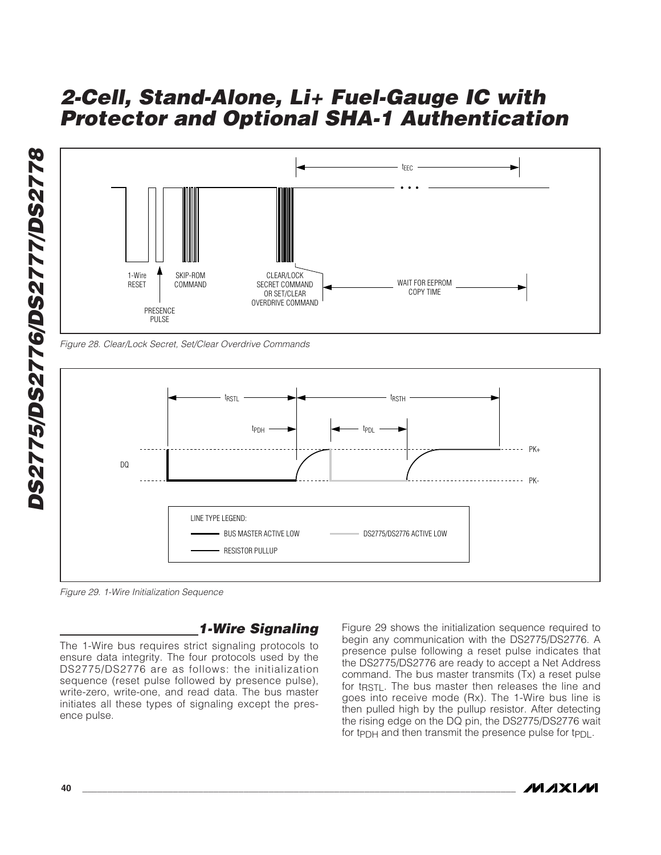

Figure 28. Clear/Lock Secret, Set/Clear Overdrive Commands



Figure 29. 1-Wire Initialization Sequence

### **1-Wire Signaling**

The 1-Wire bus requires strict signaling protocols to ensure data integrity. The four protocols used by the DS2775/DS2776 are as follows: the initialization sequence (reset pulse followed by presence pulse), write-zero, write-one, and read data. The bus master initiates all these types of signaling except the presence pulse.

Figure 29 shows the initialization sequence required to begin any communication with the DS2775/DS2776. A presence pulse following a reset pulse indicates that the DS2775/DS2776 are ready to accept a Net Address command. The bus master transmits (Tx) a reset pulse for t<sub>RSTL</sub>. The bus master then releases the line and goes into receive mode (Rx). The 1-Wire bus line is then pulled high by the pullup resistor. After detecting the rising edge on the DQ pin, the DS2775/DS2776 wait for tPDH and then transmit the presence pulse for tPDL.

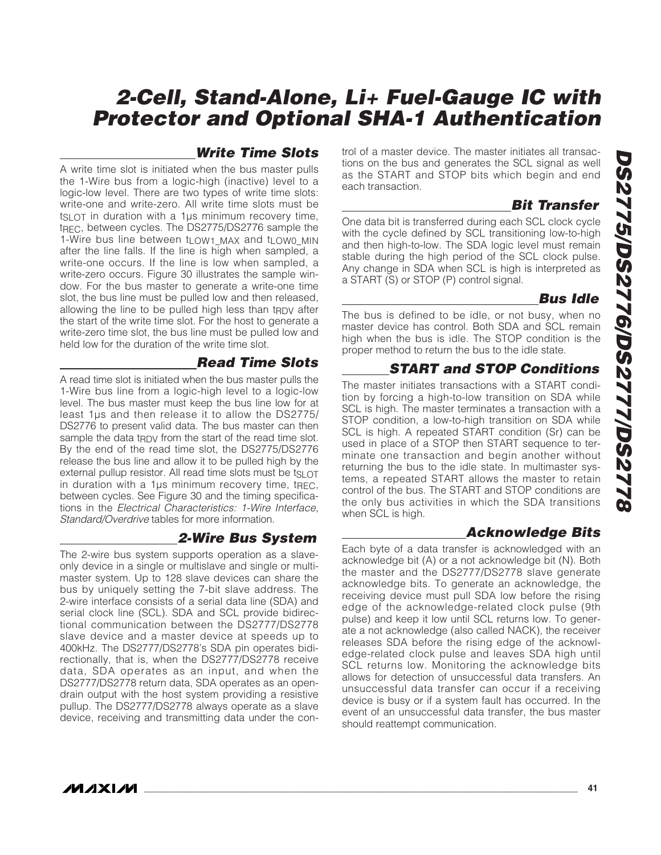### **Write Time Slots**

A write time slot is initiated when the bus master pulls the 1-Wire bus from a logic-high (inactive) level to a logic-low level. There are two types of write time slots: write-one and write-zero. All write time slots must be  $ts$  ot in duration with a 1 $\mu$ s minimum recovery time, t<sub>REC</sub>, between cycles. The DS2775/DS2776 sample the 1-Wire bus line between tLOW1\_MAX and tLOW0\_MIN after the line falls. If the line is high when sampled, a write-one occurs. If the line is low when sampled, a write-zero occurs. Figure 30 illustrates the sample window. For the bus master to generate a write-one time slot, the bus line must be pulled low and then released, allowing the line to be pulled high less than tRDV after the start of the write time slot. For the host to generate a write-zero time slot, the bus line must be pulled low and held low for the duration of the write time slot.

### **Read Time Slots**

A read time slot is initiated when the bus master pulls the 1-Wire bus line from a logic-high level to a logic-low level. The bus master must keep the bus line low for at least 1µs and then release it to allow the DS2775/ DS2776 to present valid data. The bus master can then sample the data tRDV from the start of the read time slot. By the end of the read time slot, the DS2775/DS2776 release the bus line and allow it to be pulled high by the external pullup resistor. All read time slots must be tsu OT in duration with a 1µs minimum recovery time, tREC, between cycles. See Figure 30 and the timing specifications in the Electrical Characteristics: 1-Wire Interface, Standard/Overdrive tables for more information.

### **2-Wire Bus System**

The 2-wire bus system supports operation as a slaveonly device in a single or multislave and single or multimaster system. Up to 128 slave devices can share the bus by uniquely setting the 7-bit slave address. The 2-wire interface consists of a serial data line (SDA) and serial clock line (SCL). SDA and SCL provide bidirectional communication between the DS2777/DS2778 slave device and a master device at speeds up to 400kHz. The DS2777/DS2778's SDA pin operates bidirectionally, that is, when the DS2777/DS2778 receive data, SDA operates as an input, and when the DS2777/DS2778 return data, SDA operates as an opendrain output with the host system providing a resistive pullup. The DS2777/DS2778 always operate as a slave device, receiving and transmitting data under the control of a master device. The master initiates all transactions on the bus and generates the SCL signal as well as the START and STOP bits which begin and end each transaction.

## **Bit Transfer**

One data bit is transferred during each SCL clock cycle with the cycle defined by SCL transitioning low-to-high and then high-to-low. The SDA logic level must remain stable during the high period of the SCL clock pulse. Any change in SDA when SCL is high is interpreted as a START (S) or STOP (P) control signal.

### **Bus Idle**

The bus is defined to be idle, or not busy, when no master device has control. Both SDA and SCL remain high when the bus is idle. The STOP condition is the proper method to return the bus to the idle state.

### **START and STOP Conditions**

The master initiates transactions with a START condition by forcing a high-to-low transition on SDA while SCL is high. The master terminates a transaction with a STOP condition, a low-to-high transition on SDA while SCL is high. A repeated START condition (Sr) can be used in place of a STOP then START sequence to terminate one transaction and begin another without returning the bus to the idle state. In multimaster systems, a repeated START allows the master to retain control of the bus. The START and STOP conditions are the only bus activities in which the SDA transitions when SCL is high.

#### **Acknowledge Bits**

Each byte of a data transfer is acknowledged with an acknowledge bit (A) or a not acknowledge bit (N). Both the master and the DS2777/DS2778 slave generate acknowledge bits. To generate an acknowledge, the receiving device must pull SDA low before the rising edge of the acknowledge-related clock pulse (9th pulse) and keep it low until SCL returns low. To generate a not acknowledge (also called NACK), the receiver releases SDA before the rising edge of the acknowledge-related clock pulse and leaves SDA high until SCL returns low. Monitoring the acknowledge bits allows for detection of unsuccessful data transfers. An unsuccessful data transfer can occur if a receiving device is busy or if a system fault has occurred. In the event of an unsuccessful data transfer, the bus master should reattempt communication.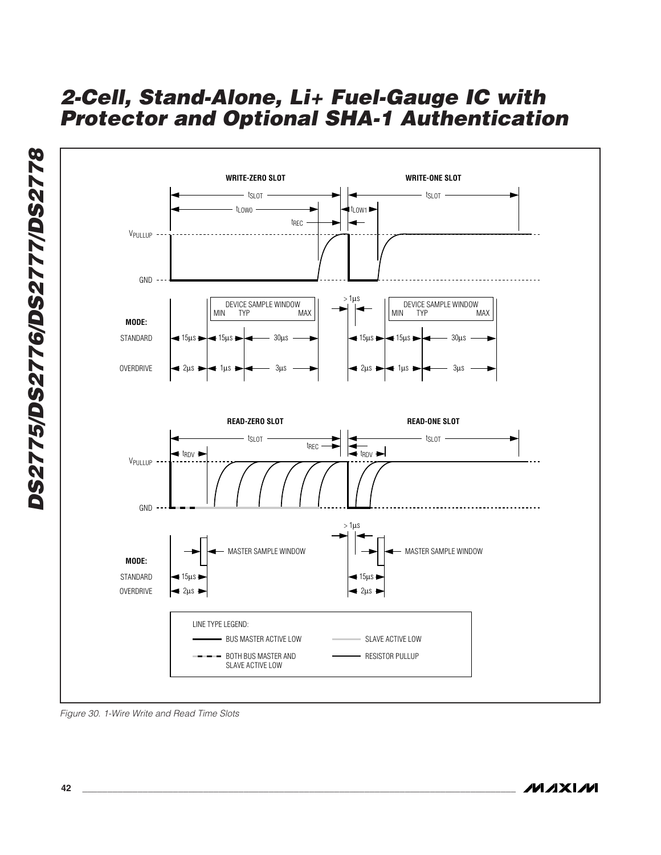

Figure 30. 1-Wire Write and Read Time Slots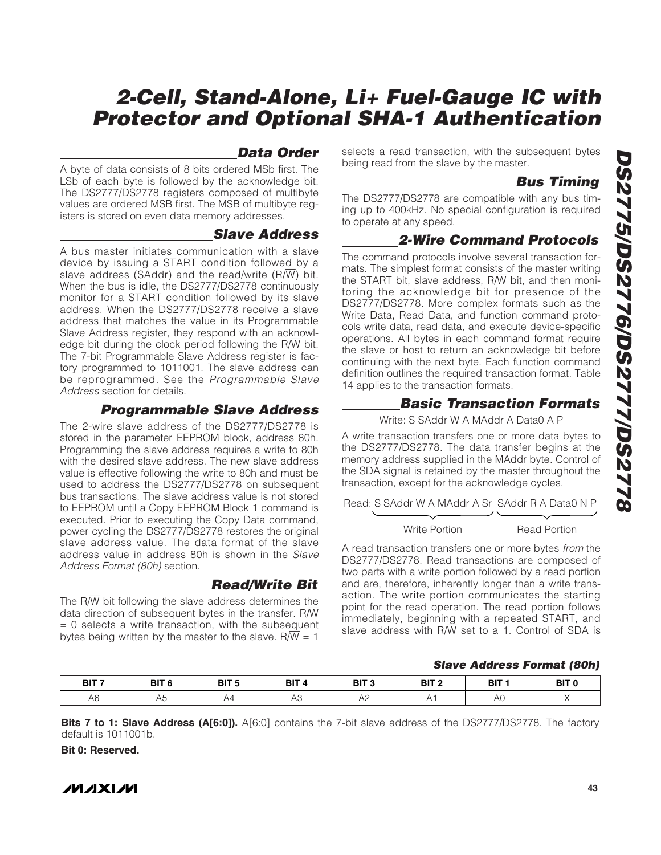### **Data Order**

A byte of data consists of 8 bits ordered MSb first. The LSb of each byte is followed by the acknowledge bit. The DS2777/DS2778 registers composed of multibyte values are ordered MSB first. The MSB of multibyte registers is stored on even data memory addresses.

#### **Slave Address**

A bus master initiates communication with a slave device by issuing a START condition followed by a slave address (SAddr) and the read/write  $(R/\overline{W})$  bit. When the bus is idle, the DS2777/DS2778 continuously monitor for a START condition followed by its slave address. When the DS2777/DS2778 receive a slave address that matches the value in its Programmable Slave Address register, they respond with an acknowledge bit during the clock period following the  $R/\overline{W}$  bit. The 7-bit Programmable Slave Address register is factory programmed to 1011001. The slave address can be reprogrammed. See the Programmable Slave Address section for details.

#### **Programmable Slave Address**

The 2-wire slave address of the DS2777/DS2778 is stored in the parameter EEPROM block, address 80h. Programming the slave address requires a write to 80h with the desired slave address. The new slave address value is effective following the write to 80h and must be used to address the DS2777/DS2778 on subsequent bus transactions. The slave address value is not stored to EEPROM until a Copy EEPROM Block 1 command is executed. Prior to executing the Copy Data command, power cycling the DS2777/DS2778 restores the original slave address value. The data format of the slave address value in address 80h is shown in the Slave Address Format (80h) section.

#### **Read/Write Bit**

The  $R/\overline{W}$  bit following the slave address determines the data direction of subsequent bytes in the transfer.  $R/\overline{W}$  $= 0$  selects a write transaction, with the subsequent bytes being written by the master to the slave.  $R/\overline{W} = 1$ 

selects a read transaction, with the subsequent bytes being read from the slave by the master.

#### **Bus Timing**

The DS2777/DS2778 are compatible with any bus timing up to 400kHz. No special configuration is required to operate at any speed.

### **2-Wire Command Protocols**

The command protocols involve several transaction formats. The simplest format consists of the master writing the START bit, slave address,  $R/\overline{W}$  bit, and then monitoring the acknowledge bit for presence of the DS2777/DS2778. More complex formats such as the Write Data, Read Data, and function command protocols write data, read data, and execute device-specific operations. All bytes in each command format require the slave or host to return an acknowledge bit before continuing with the next byte. Each function command definition outlines the required transaction format. Table 14 applies to the transaction formats.

### **Basic Transaction Formats**

Write: S SAddr W A MAddr A Data0 A P

A write transaction transfers one or more data bytes to the DS2777/DS2778. The data transfer begins at the memory address supplied in the MAddr byte. Control of the SDA signal is retained by the master throughout the transaction, except for the acknowledge cycles.

Read: S SAddr W A MAddr A Sr SAddr R A Data0 N P

#### Write Portion Read Portion

A read transaction transfers one or more bytes from the DS2777/DS2778. Read transactions are composed of two parts with a write portion followed by a read portion and are, therefore, inherently longer than a write transaction. The write portion communicates the starting point for the read operation. The read portion follows immediately, beginning with a repeated START, and slave address with R/W set to a 1. Control of SDA is

#### **Slave Address Format (80h)**

| BIT <sub>7</sub> | BIT <sub>6</sub> | BIT <sub>5</sub><br>$\sim$ | - Bl™ | BIT <sub>3</sub> | BIT <sub>2</sub> | ÞГ<br>nц | יוכ<br>וס |
|------------------|------------------|----------------------------|-------|------------------|------------------|----------|-----------|
| $\sim$<br>Ab     | า∪               |                            | ی ۱   | ╰                |                  |          |           |

**Bits 7 to 1: Slave Address (A[6:0]).** A[6:0] contains the 7-bit slave address of the DS2777/DS2778. The factory default is 1011001b.

**Bit 0: Reserved.**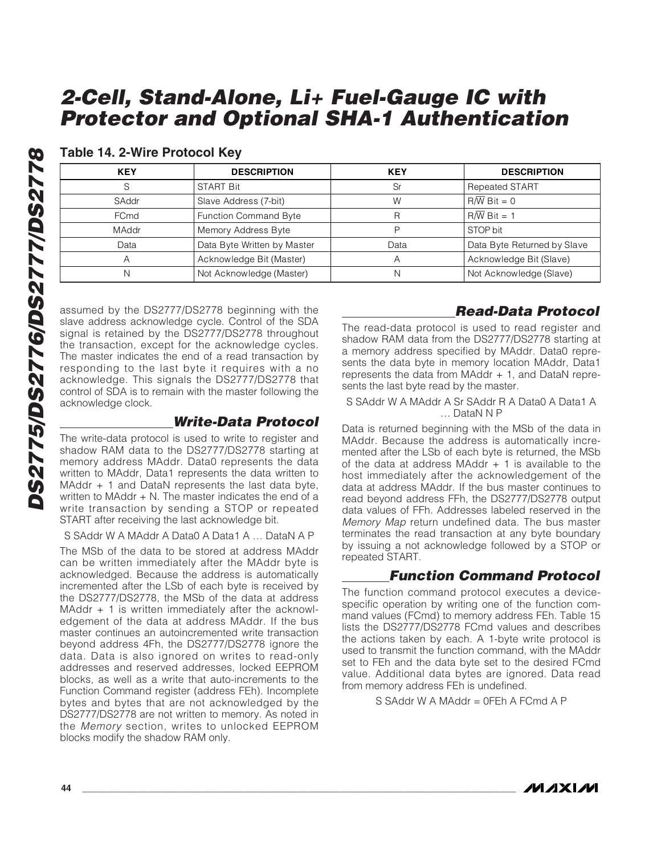| <b>KEY</b>   | <b>DESCRIPTION</b>          | <b>KEY</b> | <b>DESCRIPTION</b>          |
|--------------|-----------------------------|------------|-----------------------------|
|              | <b>START Bit</b>            | Sr         | <b>Repeated START</b>       |
| SAddr        | Slave Address (7-bit)       | W          | $R/\overline{W}$ Bit = 0    |
| FCmd         | Function Command Byte       | R          | $R/\overline{W}$ Bit = 1    |
| <b>MAddr</b> | Memory Address Byte         | D          | STOP bit                    |
| Data         | Data Byte Written by Master | Data       | Data Byte Returned by Slave |
| A            | Acknowledge Bit (Master)    | A          | Acknowledge Bit (Slave)     |
| N            | Not Acknowledge (Master)    | N          | Not Acknowledge (Slave)     |

#### **Table 14. 2-Wire Protocol Key**

assumed by the DS2777/DS2778 beginning with the slave address acknowledge cycle. Control of the SDA signal is retained by the DS2777/DS2778 throughout the transaction, except for the acknowledge cycles. The master indicates the end of a read transaction by responding to the last byte it requires with a no acknowledge. This signals the DS2777/DS2778 that control of SDA is to remain with the master following the acknowledge clock.

#### **Write-Data Protocol**

The write-data protocol is used to write to register and shadow RAM data to the DS2777/DS2778 starting at memory address MAddr. Data0 represents the data written to MAddr, Data1 represents the data written to MAddr + 1 and DataN represents the last data byte, written to MAddr  $+$  N. The master indicates the end of a write transaction by sending a STOP or repeated START after receiving the last acknowledge bit.

#### S SAddr W A MAddr A Data0 A Data1 A … DataN A P

The MSb of the data to be stored at address MAddr can be written immediately after the MAddr byte is acknowledged. Because the address is automatically incremented after the LSb of each byte is received by the DS2777/DS2778, the MSb of the data at address MAddr  $+$  1 is written immediately after the acknowledgement of the data at address MAddr. If the bus master continues an autoincremented write transaction beyond address 4Fh, the DS2777/DS2778 ignore the data. Data is also ignored on writes to read-only addresses and reserved addresses, locked EEPROM blocks, as well as a write that auto-increments to the Function Command register (address FEh). Incomplete bytes and bytes that are not acknowledged by the DS2777/DS2778 are not written to memory. As noted in the Memory section, writes to unlocked EEPROM blocks modify the shadow RAM only.

### **Read-Data Protocol**

The read-data protocol is used to read register and shadow RAM data from the DS2777/DS2778 starting at a memory address specified by MAddr. Data0 represents the data byte in memory location MAddr, Data1 represents the data from MAddr + 1, and DataN represents the last byte read by the master.

#### S SAddr W A MAddr A Sr SAddr R A Data0 A Data1 A … DataN N P

Data is returned beginning with the MSb of the data in MAddr. Because the address is automatically incremented after the LSb of each byte is returned, the MSb of the data at address MAddr  $+$  1 is available to the host immediately after the acknowledgement of the data at address MAddr. If the bus master continues to read beyond address FFh, the DS2777/DS2778 output data values of FFh. Addresses labeled reserved in the Memory Map return undefined data. The bus master terminates the read transaction at any byte boundary by issuing a not acknowledge followed by a STOP or repeated START.

### **Function Command Protocol**

The function command protocol executes a devicespecific operation by writing one of the function command values (FCmd) to memory address FEh. Table 15 lists the DS2777/DS2778 FCmd values and describes the actions taken by each. A 1-byte write protocol is used to transmit the function command, with the MAddr set to FEh and the data byte set to the desired FCmd value. Additional data bytes are ignored. Data read from memory address FEh is undefined.

S SAddr W A MAddr = 0FEh A FCmd A P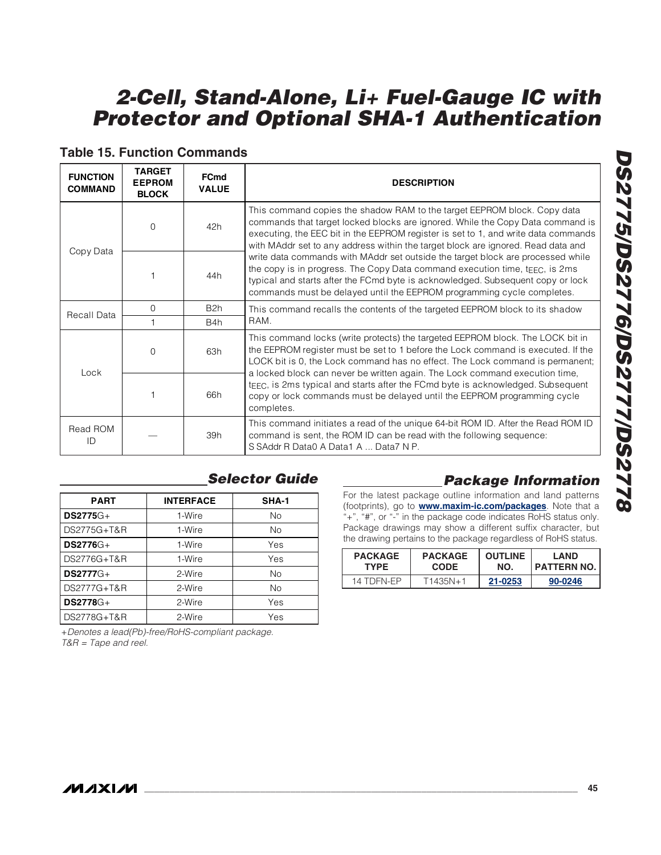| <b>FUNCTION</b><br><b>COMMAND</b> | <b>TARGET</b><br><b>EEPROM</b><br><b>BLOCK</b> | <b>FCmd</b><br><b>VALUE</b> | <b>DESCRIPTION</b>                                                                                                                                                                                                                                                                                                                                                                                                                                                                                                                                                                                                                                                      |  |  |
|-----------------------------------|------------------------------------------------|-----------------------------|-------------------------------------------------------------------------------------------------------------------------------------------------------------------------------------------------------------------------------------------------------------------------------------------------------------------------------------------------------------------------------------------------------------------------------------------------------------------------------------------------------------------------------------------------------------------------------------------------------------------------------------------------------------------------|--|--|
|                                   | $\Omega$<br>42h                                |                             | This command copies the shadow RAM to the target EEPROM block. Copy data<br>commands that target locked blocks are ignored. While the Copy Data command is<br>executing, the EEC bit in the EEPROM register is set to 1, and write data commands<br>with MAddr set to any address within the target block are ignored. Read data and<br>write data commands with MAddr set outside the target block are processed while<br>the copy is in progress. The Copy Data command execution time, t $EEC$ , is 2ms<br>typical and starts after the FCmd byte is acknowledged. Subsequent copy or lock<br>commands must be delayed until the EEPROM programming cycle completes. |  |  |
| Copy Data<br>44h                  |                                                |                             |                                                                                                                                                                                                                                                                                                                                                                                                                                                                                                                                                                                                                                                                         |  |  |
| Recall Data                       | $\Omega$                                       | B <sub>2</sub> h            | This command recalls the contents of the targeted EEPROM block to its shadow                                                                                                                                                                                                                                                                                                                                                                                                                                                                                                                                                                                            |  |  |
|                                   |                                                | B4h                         | RAM.                                                                                                                                                                                                                                                                                                                                                                                                                                                                                                                                                                                                                                                                    |  |  |
| Lock                              | $\Omega$                                       | 63h                         | This command locks (write protects) the targeted EEPROM block. The LOCK bit in<br>the EEPROM register must be set to 1 before the Lock command is executed. If the<br>LOCK bit is 0, the Lock command has no effect. The Lock command is permanent;<br>a locked block can never be written again. The Lock command execution time,                                                                                                                                                                                                                                                                                                                                      |  |  |
|                                   |                                                | 66h                         | tEEC, is 2ms typical and starts after the FCmd byte is acknowledged. Subsequent<br>copy or lock commands must be delayed until the EEPROM programming cycle<br>completes.                                                                                                                                                                                                                                                                                                                                                                                                                                                                                               |  |  |
| Read ROM<br>ID                    |                                                | 39h                         | This command initiates a read of the unique 64-bit ROM ID. After the Read ROM ID<br>command is sent, the ROM ID can be read with the following sequence:<br>S SAddr R Data0 A Data1 A  Data7 N P.                                                                                                                                                                                                                                                                                                                                                                                                                                                                       |  |  |

#### **Table 15. Function Commands**

| <b>PART</b>      | <b>INTERFACE</b> | SHA-1 |
|------------------|------------------|-------|
| $DS2775G+$       | 1-Wire           | No    |
| DS2775G+T&R      | 1-Wire           | No    |
| $DS2776G+$       | 1-Wire           | Yes   |
| DS2776G+T&R      | 1-Wire           | Yes   |
| <b>DS2777G+</b>  | 2-Wire           | No    |
| DS2777G+T&R      | 2-Wire           | No    |
| <b>DS2778</b> G+ | 2-Wire           | Yes   |
| DS2778G+T&R      | 2-Wire           | Yes   |

## **Selector Guide**

+Denotes a lead(Pb)-free/RoHS-compliant package. T&R = Tape and reel.

## **Package Information**

For the latest package outline information and land patterns (footprints), go to **www.maxim-ic.com/packages**. Note that a "+", "#", or "-" in the package code indicates RoHS status only. Package drawings may show a different suffix character, but the drawing pertains to the package regardless of RoHS status.

| <b>PACKAGE</b> | <b>PACKAGE</b> | <b>OUTLINE</b> | I AND              |
|----------------|----------------|----------------|--------------------|
| TYPF.          | <b>CODE</b>    | NO.            | <b>PATTERN NO.</b> |
| 14 TDFN-FP     | T1435N+1       | 21-0253        | 90-0246            |